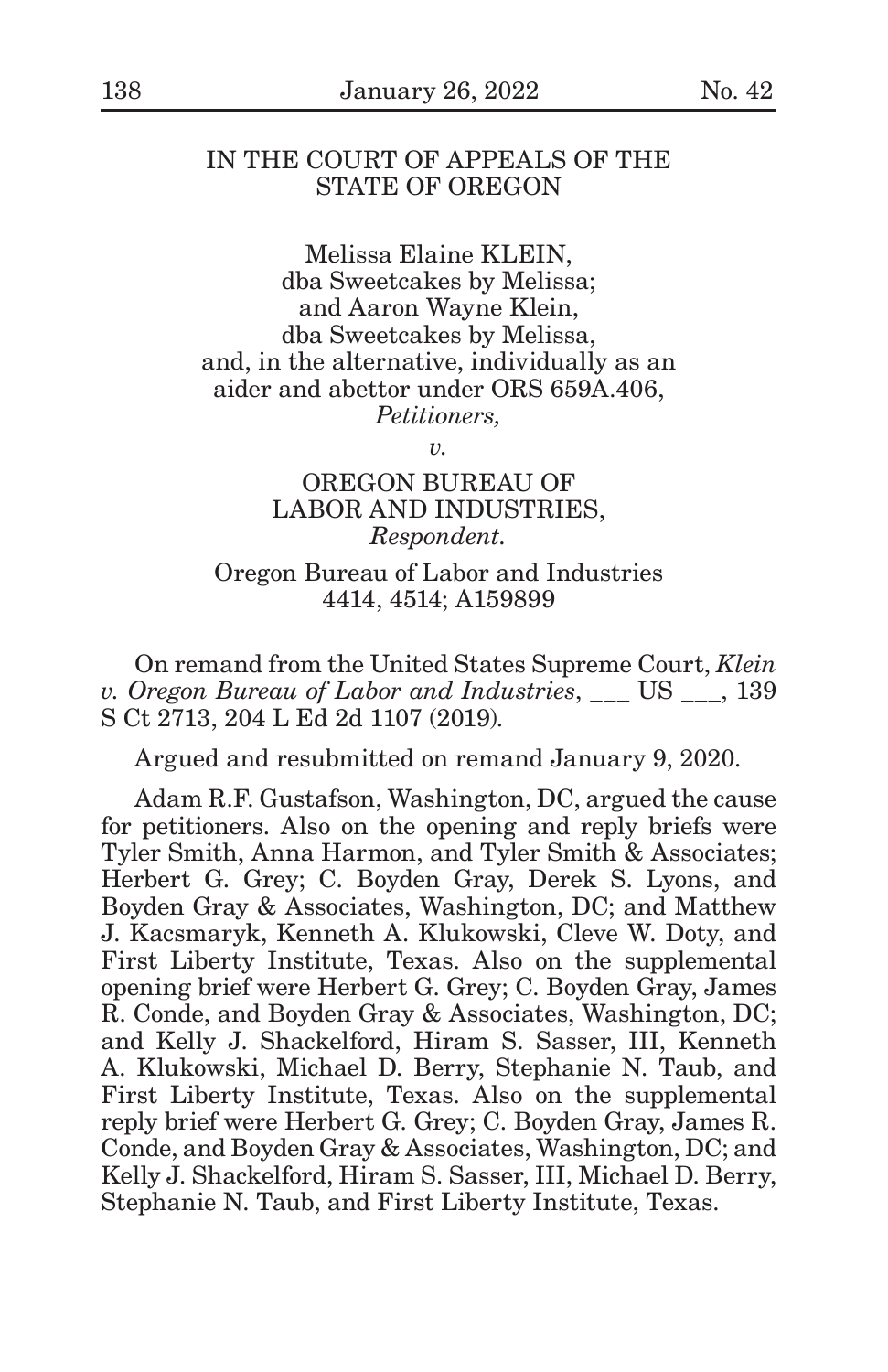### IN THE COURT OF APPEALS OF THE STATE OF OREGON

Melissa Elaine KLEIN, dba Sweetcakes by Melissa; and Aaron Wayne Klein, dba Sweetcakes by Melissa, and, in the alternative, individually as an aider and abettor under ORS 659A.406, *Petitioners,*

*v.*

## OREGON BUREAU OF LABOR AND INDUSTRIES, *Respondent.*

Oregon Bureau of Labor and Industries 4414, 4514; A159899

On remand from the United States Supreme Court, *Klein v. Oregon Bureau of Labor and Industries*, \_\_\_ US \_\_\_, 139 S Ct 2713, 204 L Ed 2d 1107 (2019).

Argued and resubmitted on remand January 9, 2020.

Adam R.F. Gustafson, Washington, DC, argued the cause for petitioners. Also on the opening and reply briefs were Tyler Smith, Anna Harmon, and Tyler Smith & Associates; Herbert G. Grey; C. Boyden Gray, Derek S. Lyons, and Boyden Gray & Associates, Washington, DC; and Matthew J. Kacsmaryk, Kenneth A. Klukowski, Cleve W. Doty, and First Liberty Institute, Texas. Also on the supplemental opening brief were Herbert G. Grey; C. Boyden Gray, James R. Conde, and Boyden Gray & Associates, Washington, DC; and Kelly J. Shackelford, Hiram S. Sasser, III, Kenneth A. Klukowski, Michael D. Berry, Stephanie N. Taub, and First Liberty Institute, Texas. Also on the supplemental reply brief were Herbert G. Grey; C. Boyden Gray, James R. Conde, and Boyden Gray & Associates, Washington, DC; and Kelly J. Shackelford, Hiram S. Sasser, III, Michael D. Berry, Stephanie N. Taub, and First Liberty Institute, Texas.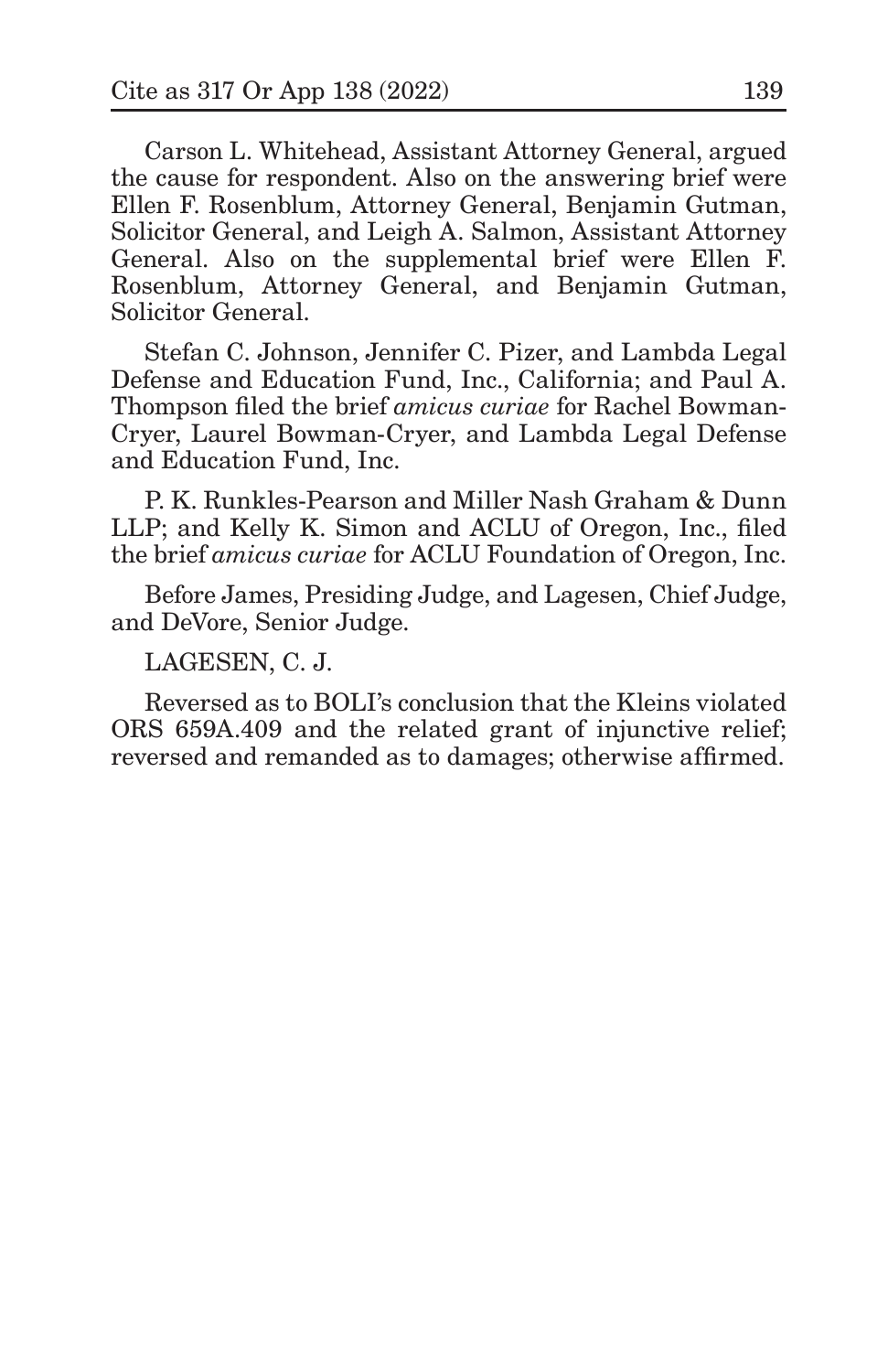Carson L. Whitehead, Assistant Attorney General, argued the cause for respondent. Also on the answering brief were Ellen F. Rosenblum, Attorney General, Benjamin Gutman, Solicitor General, and Leigh A. Salmon, Assistant Attorney General. Also on the supplemental brief were Ellen F. Rosenblum, Attorney General, and Benjamin Gutman, Solicitor General.

Stefan C. Johnson, Jennifer C. Pizer, and Lambda Legal Defense and Education Fund, Inc., California; and Paul A. Thompson filed the brief *amicus curiae* for Rachel Bowman-Cryer, Laurel Bowman-Cryer, and Lambda Legal Defense and Education Fund, Inc.

P. K. Runkles-Pearson and Miller Nash Graham & Dunn LLP; and Kelly K. Simon and ACLU of Oregon, Inc., filed the brief *amicus curiae* for ACLU Foundation of Oregon, Inc.

Before James, Presiding Judge, and Lagesen, Chief Judge, and DeVore, Senior Judge.

LAGESEN, C. J.

Reversed as to BOLI's conclusion that the Kleins violated ORS 659A.409 and the related grant of injunctive relief; reversed and remanded as to damages; otherwise affirmed.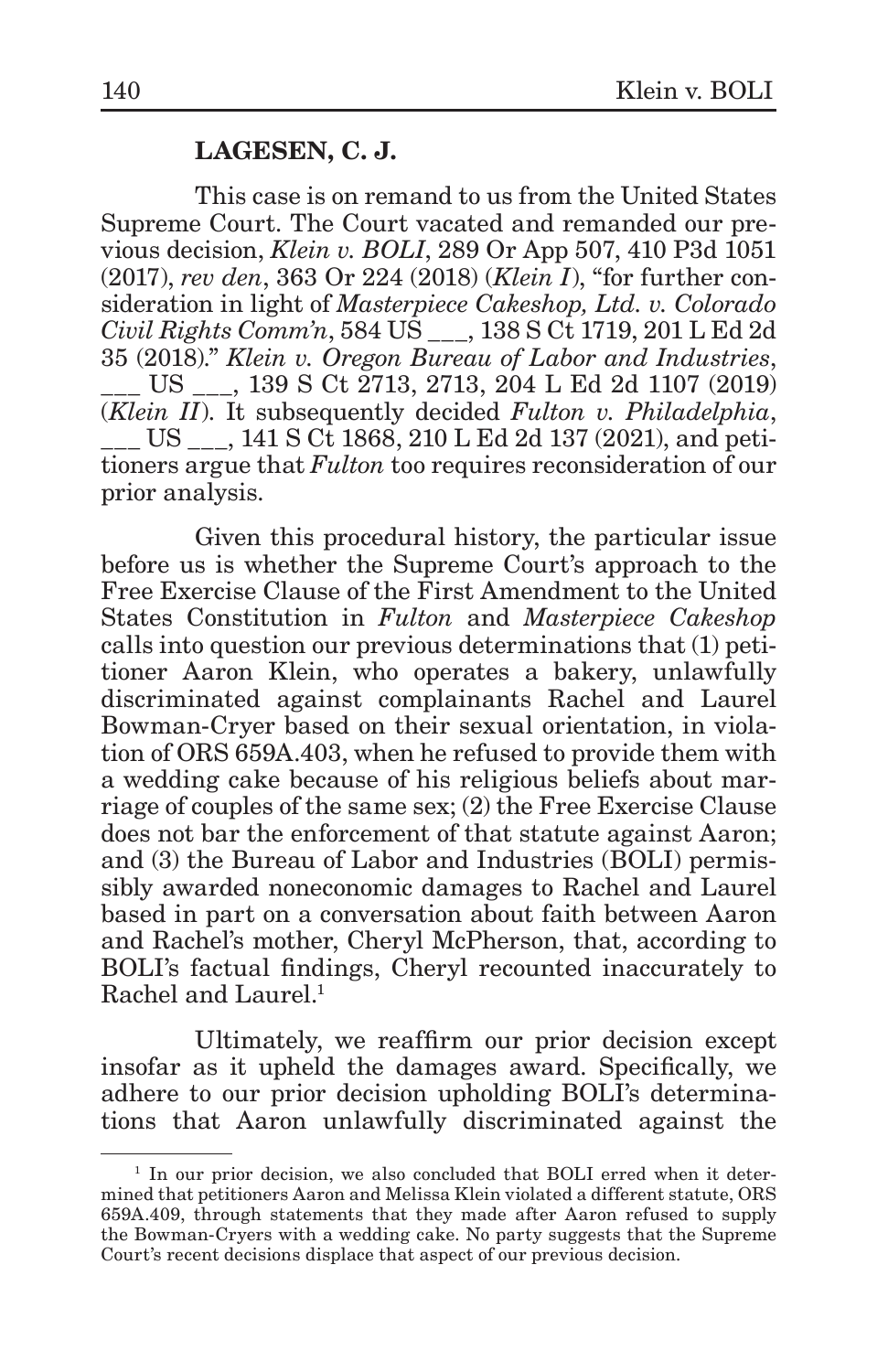## **LAGESEN, C. J.**

This case is on remand to us from the United States Supreme Court. The Court vacated and remanded our previous decision, *Klein v. BOLI*, 289 Or App 507, 410 P3d 1051 (2017), *rev den*, 363 Or 224 (2018) (*Klein I*), "for further consideration in light of *Masterpiece Cakeshop, Ltd. v. Colorado Civil Rights Comm'n*, 584 US \_\_\_, 138 S Ct 1719, 201 L Ed 2d 35 (2018)." *Klein v. Oregon Bureau of Labor and Industries*, \_\_\_ US \_\_\_, 139 S Ct 2713, 2713, 204 L Ed 2d 1107 (2019) (*Klein II*). It subsequently decided *Fulton v. Philadelphia*, \_\_\_ US \_\_\_, 141 S Ct 1868, 210 L Ed 2d 137 (2021), and petitioners argue that *Fulton* too requires reconsideration of our prior analysis.

Given this procedural history, the particular issue before us is whether the Supreme Court's approach to the Free Exercise Clause of the First Amendment to the United States Constitution in *Fulton* and *Masterpiece Cakeshop* calls into question our previous determinations that (1) petitioner Aaron Klein, who operates a bakery, unlawfully discriminated against complainants Rachel and Laurel Bowman-Cryer based on their sexual orientation, in violation of ORS 659A.403, when he refused to provide them with a wedding cake because of his religious beliefs about marriage of couples of the same sex; (2) the Free Exercise Clause does not bar the enforcement of that statute against Aaron; and (3) the Bureau of Labor and Industries (BOLI) permissibly awarded noneconomic damages to Rachel and Laurel based in part on a conversation about faith between Aaron and Rachel's mother, Cheryl McPherson, that, according to BOLI's factual findings, Cheryl recounted inaccurately to Rachel and Laurel.<sup>1</sup>

Ultimately, we reaffirm our prior decision except insofar as it upheld the damages award. Specifically, we adhere to our prior decision upholding BOLI's determinations that Aaron unlawfully discriminated against the

<sup>&</sup>lt;sup>1</sup> In our prior decision, we also concluded that BOLI erred when it determined that petitioners Aaron and Melissa Klein violated a different statute, ORS 659A.409, through statements that they made after Aaron refused to supply the Bowman-Cryers with a wedding cake. No party suggests that the Supreme Court's recent decisions displace that aspect of our previous decision.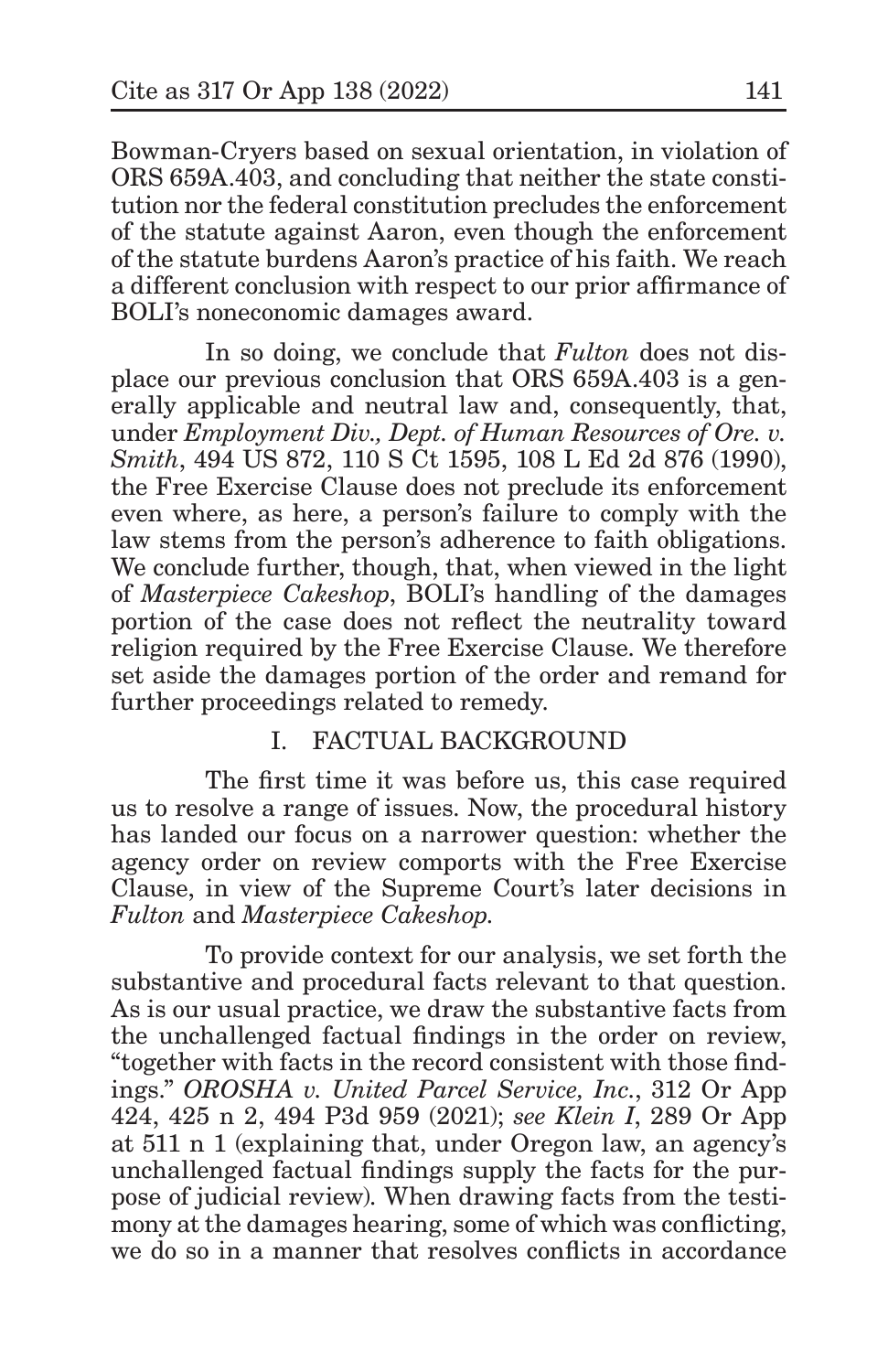Bowman-Cryers based on sexual orientation, in violation of ORS 659A.403, and concluding that neither the state constitution nor the federal constitution precludes the enforcement of the statute against Aaron, even though the enforcement of the statute burdens Aaron's practice of his faith. We reach a different conclusion with respect to our prior affirmance of BOLI's noneconomic damages award.

In so doing, we conclude that *Fulton* does not displace our previous conclusion that ORS 659A.403 is a generally applicable and neutral law and, consequently, that, under *Employment Div., Dept. of Human Resources of Ore. v. Smith*, 494 US 872, 110 S Ct 1595, 108 L Ed 2d 876 (1990), the Free Exercise Clause does not preclude its enforcement even where, as here, a person's failure to comply with the law stems from the person's adherence to faith obligations. We conclude further, though, that, when viewed in the light of *Masterpiece Cakeshop*, BOLI's handling of the damages portion of the case does not reflect the neutrality toward religion required by the Free Exercise Clause. We therefore set aside the damages portion of the order and remand for further proceedings related to remedy.

# I. FACTUAL BACKGROUND

The first time it was before us, this case required us to resolve a range of issues. Now, the procedural history has landed our focus on a narrower question: whether the agency order on review comports with the Free Exercise Clause, in view of the Supreme Court's later decisions in *Fulton* and *Masterpiece Cakeshop.*

To provide context for our analysis, we set forth the substantive and procedural facts relevant to that question. As is our usual practice, we draw the substantive facts from the unchallenged factual findings in the order on review, "together with facts in the record consistent with those findings." *OROSHA v. United Parcel Service, Inc.*, 312 Or App 424, 425 n 2, 494 P3d 959 (2021); *see Klein I*, 289 Or App at 511 n 1 (explaining that, under Oregon law, an agency's unchallenged factual findings supply the facts for the purpose of judicial review). When drawing facts from the testimony at the damages hearing, some of which was conflicting, we do so in a manner that resolves conflicts in accordance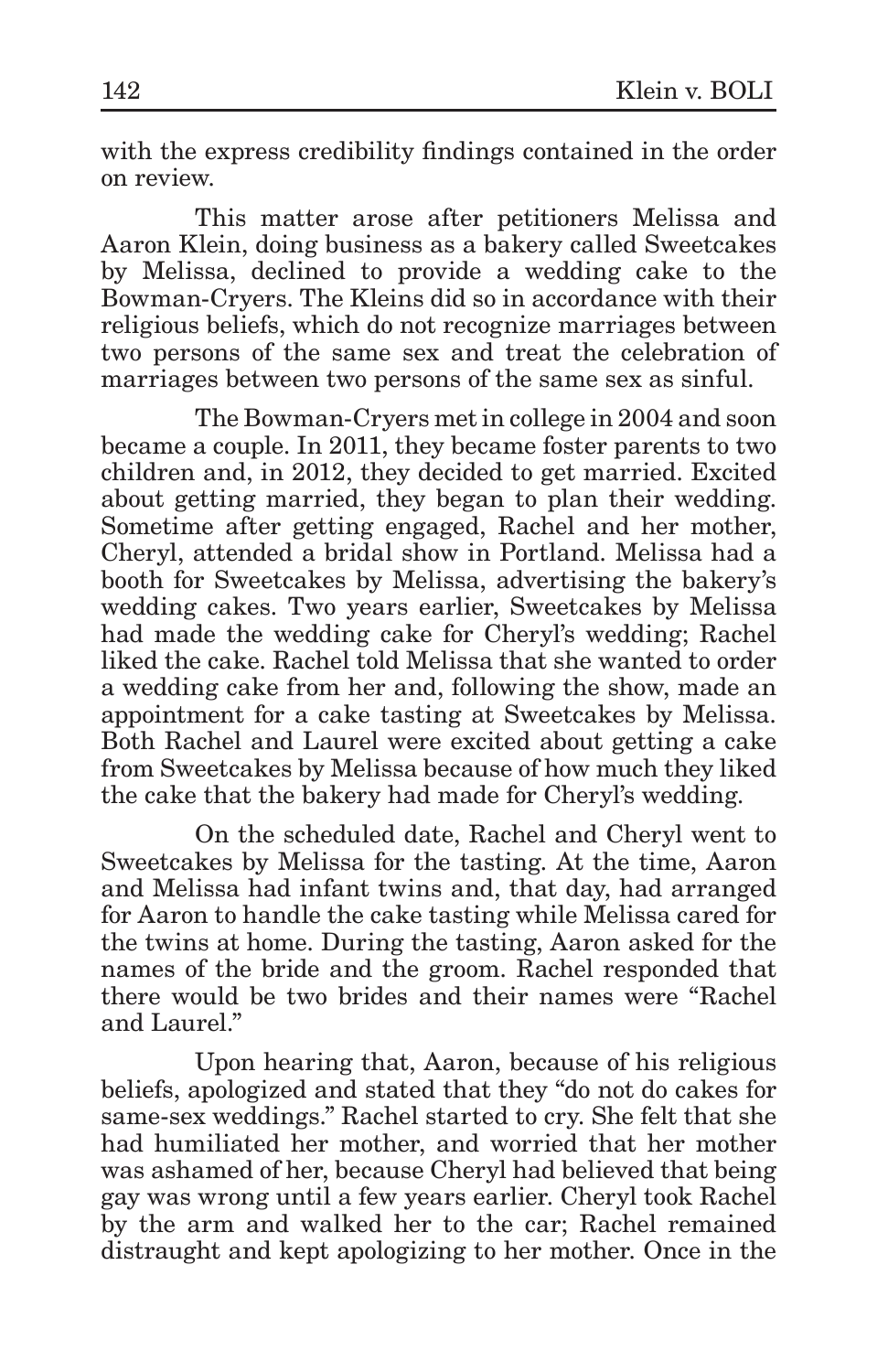with the express credibility findings contained in the order on review.

This matter arose after petitioners Melissa and Aaron Klein, doing business as a bakery called Sweetcakes by Melissa, declined to provide a wedding cake to the Bowman-Cryers. The Kleins did so in accordance with their religious beliefs, which do not recognize marriages between two persons of the same sex and treat the celebration of marriages between two persons of the same sex as sinful.

The Bowman-Cryers met in college in 2004 and soon became a couple. In 2011, they became foster parents to two children and, in 2012, they decided to get married. Excited about getting married, they began to plan their wedding. Sometime after getting engaged, Rachel and her mother, Cheryl, attended a bridal show in Portland. Melissa had a booth for Sweetcakes by Melissa, advertising the bakery's wedding cakes. Two years earlier, Sweetcakes by Melissa had made the wedding cake for Cheryl's wedding; Rachel liked the cake. Rachel told Melissa that she wanted to order a wedding cake from her and, following the show, made an appointment for a cake tasting at Sweetcakes by Melissa. Both Rachel and Laurel were excited about getting a cake from Sweetcakes by Melissa because of how much they liked the cake that the bakery had made for Cheryl's wedding.

On the scheduled date, Rachel and Cheryl went to Sweetcakes by Melissa for the tasting. At the time, Aaron and Melissa had infant twins and, that day, had arranged for Aaron to handle the cake tasting while Melissa cared for the twins at home. During the tasting, Aaron asked for the names of the bride and the groom. Rachel responded that there would be two brides and their names were "Rachel and Laurel."

Upon hearing that, Aaron, because of his religious beliefs, apologized and stated that they "do not do cakes for same-sex weddings." Rachel started to cry. She felt that she had humiliated her mother, and worried that her mother was ashamed of her, because Cheryl had believed that being gay was wrong until a few years earlier. Cheryl took Rachel by the arm and walked her to the car; Rachel remained distraught and kept apologizing to her mother. Once in the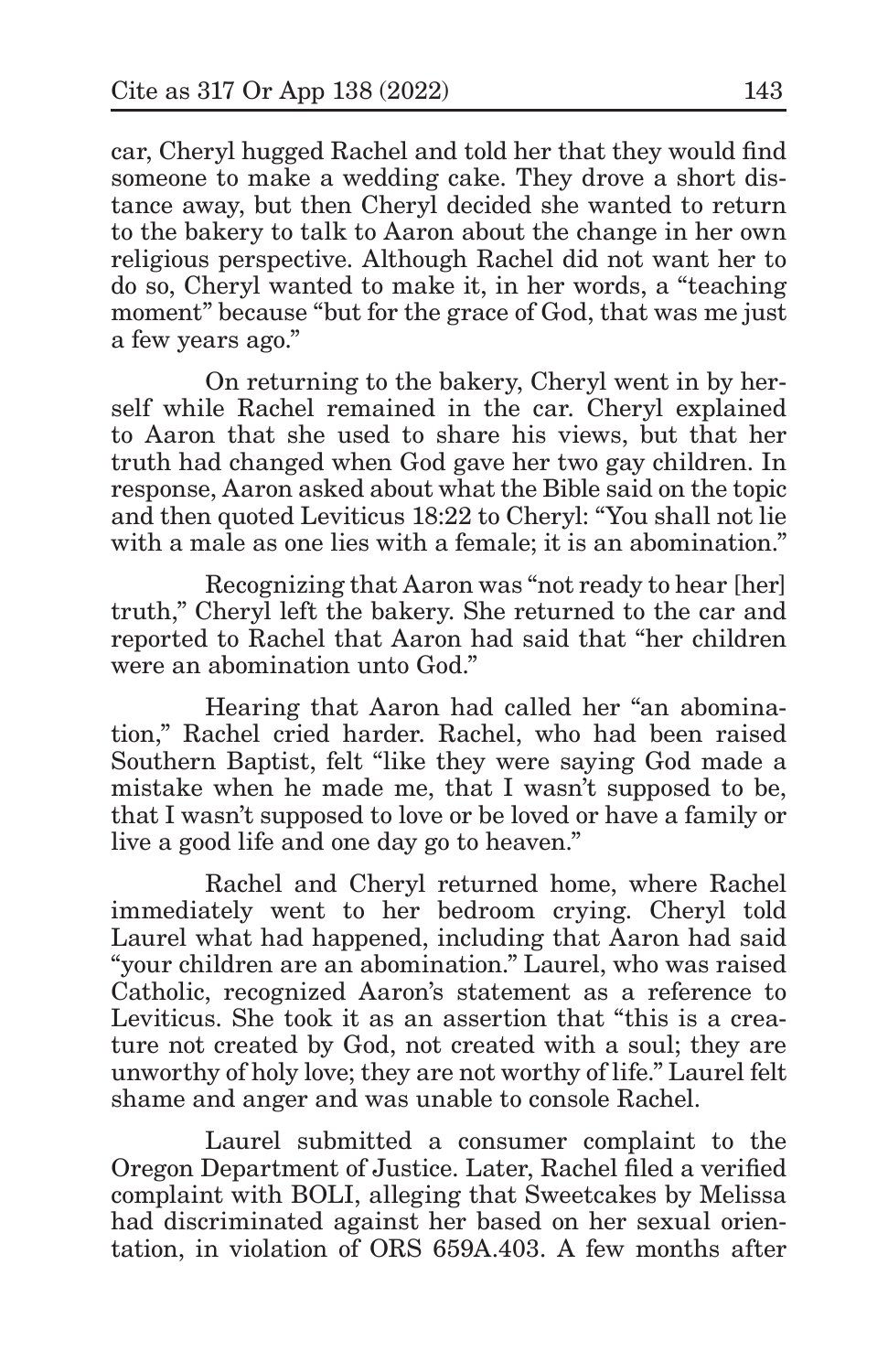car, Cheryl hugged Rachel and told her that they would find someone to make a wedding cake. They drove a short distance away, but then Cheryl decided she wanted to return to the bakery to talk to Aaron about the change in her own religious perspective. Although Rachel did not want her to do so, Cheryl wanted to make it, in her words, a "teaching moment" because "but for the grace of God, that was me just a few years ago."

On returning to the bakery, Cheryl went in by herself while Rachel remained in the car. Cheryl explained to Aaron that she used to share his views, but that her truth had changed when God gave her two gay children. In response, Aaron asked about what the Bible said on the topic and then quoted Leviticus 18:22 to Cheryl: "You shall not lie with a male as one lies with a female; it is an abomination."

Recognizing that Aaron was "not ready to hear [her] truth," Cheryl left the bakery. She returned to the car and reported to Rachel that Aaron had said that "her children were an abomination unto God."

Hearing that Aaron had called her "an abomination," Rachel cried harder. Rachel, who had been raised Southern Baptist, felt "like they were saying God made a mistake when he made me, that I wasn't supposed to be, that I wasn't supposed to love or be loved or have a family or live a good life and one day go to heaven."

Rachel and Cheryl returned home, where Rachel immediately went to her bedroom crying. Cheryl told Laurel what had happened, including that Aaron had said "your children are an abomination." Laurel, who was raised Catholic, recognized Aaron's statement as a reference to Leviticus. She took it as an assertion that "this is a creature not created by God, not created with a soul; they are unworthy of holy love; they are not worthy of life." Laurel felt shame and anger and was unable to console Rachel.

Laurel submitted a consumer complaint to the Oregon Department of Justice. Later, Rachel filed a verified complaint with BOLI, alleging that Sweetcakes by Melissa had discriminated against her based on her sexual orientation, in violation of ORS 659A.403. A few months after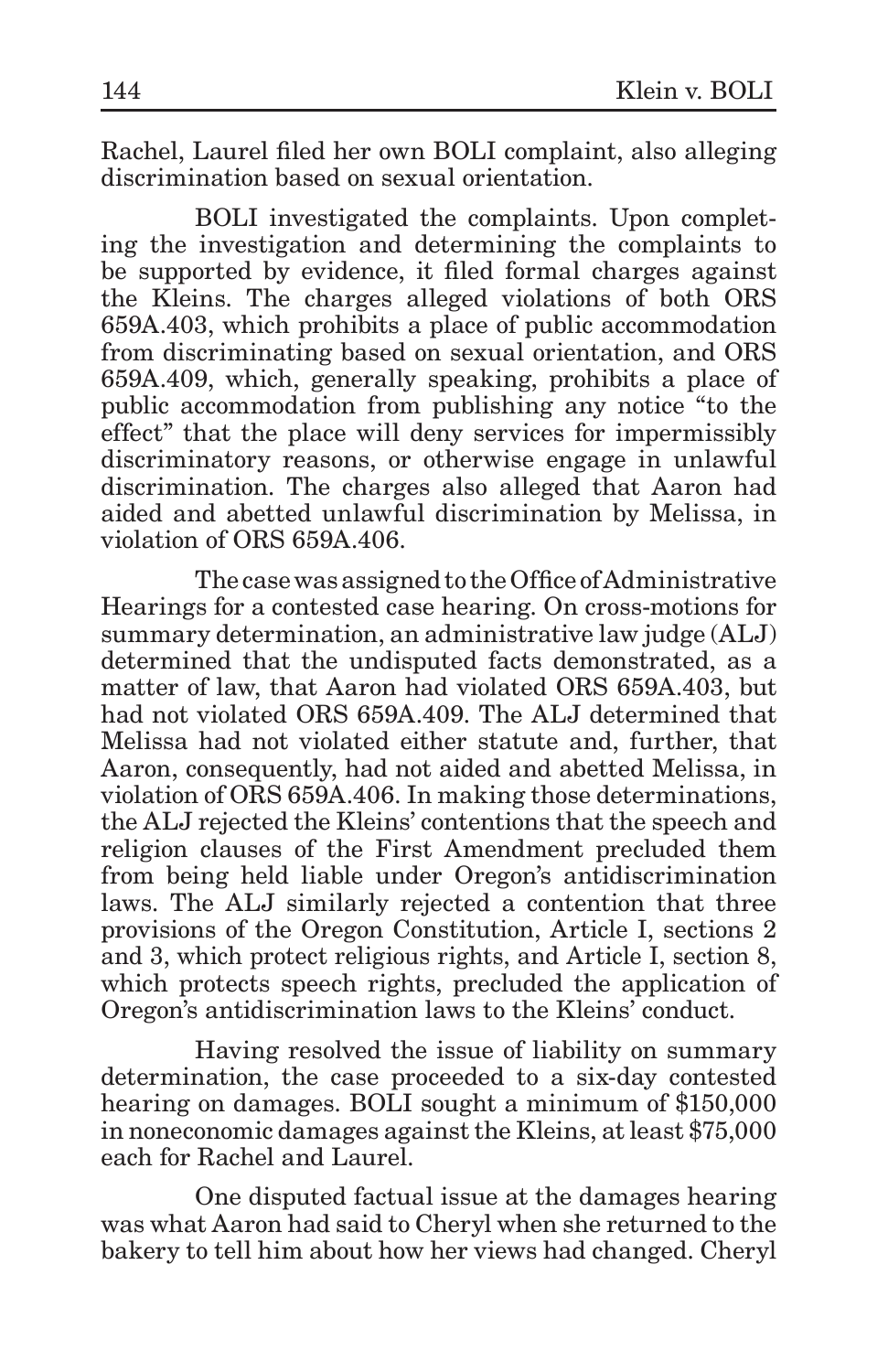Rachel, Laurel filed her own BOLI complaint, also alleging discrimination based on sexual orientation.

BOLI investigated the complaints. Upon completing the investigation and determining the complaints to be supported by evidence, it filed formal charges against the Kleins. The charges alleged violations of both ORS 659A.403, which prohibits a place of public accommodation from discriminating based on sexual orientation, and ORS 659A.409, which, generally speaking, prohibits a place of public accommodation from publishing any notice "to the effect" that the place will deny services for impermissibly discriminatory reasons, or otherwise engage in unlawful discrimination. The charges also alleged that Aaron had aided and abetted unlawful discrimination by Melissa, in violation of ORS 659A.406.

The case was assigned to the Office of Administrative Hearings for a contested case hearing. On cross-motions for summary determination, an administrative law judge (ALJ) determined that the undisputed facts demonstrated, as a matter of law, that Aaron had violated ORS 659A.403, but had not violated ORS 659A.409. The ALJ determined that Melissa had not violated either statute and, further, that Aaron, consequently, had not aided and abetted Melissa, in violation of ORS 659A.406. In making those determinations, the ALJ rejected the Kleins' contentions that the speech and religion clauses of the First Amendment precluded them from being held liable under Oregon's antidiscrimination laws. The ALJ similarly rejected a contention that three provisions of the Oregon Constitution, Article I, sections 2 and 3, which protect religious rights, and Article I, section 8, which protects speech rights, precluded the application of Oregon's antidiscrimination laws to the Kleins' conduct.

Having resolved the issue of liability on summary determination, the case proceeded to a six-day contested hearing on damages. BOLI sought a minimum of \$150,000 in noneconomic damages against the Kleins, at least \$75,000 each for Rachel and Laurel.

One disputed factual issue at the damages hearing was what Aaron had said to Cheryl when she returned to the bakery to tell him about how her views had changed. Cheryl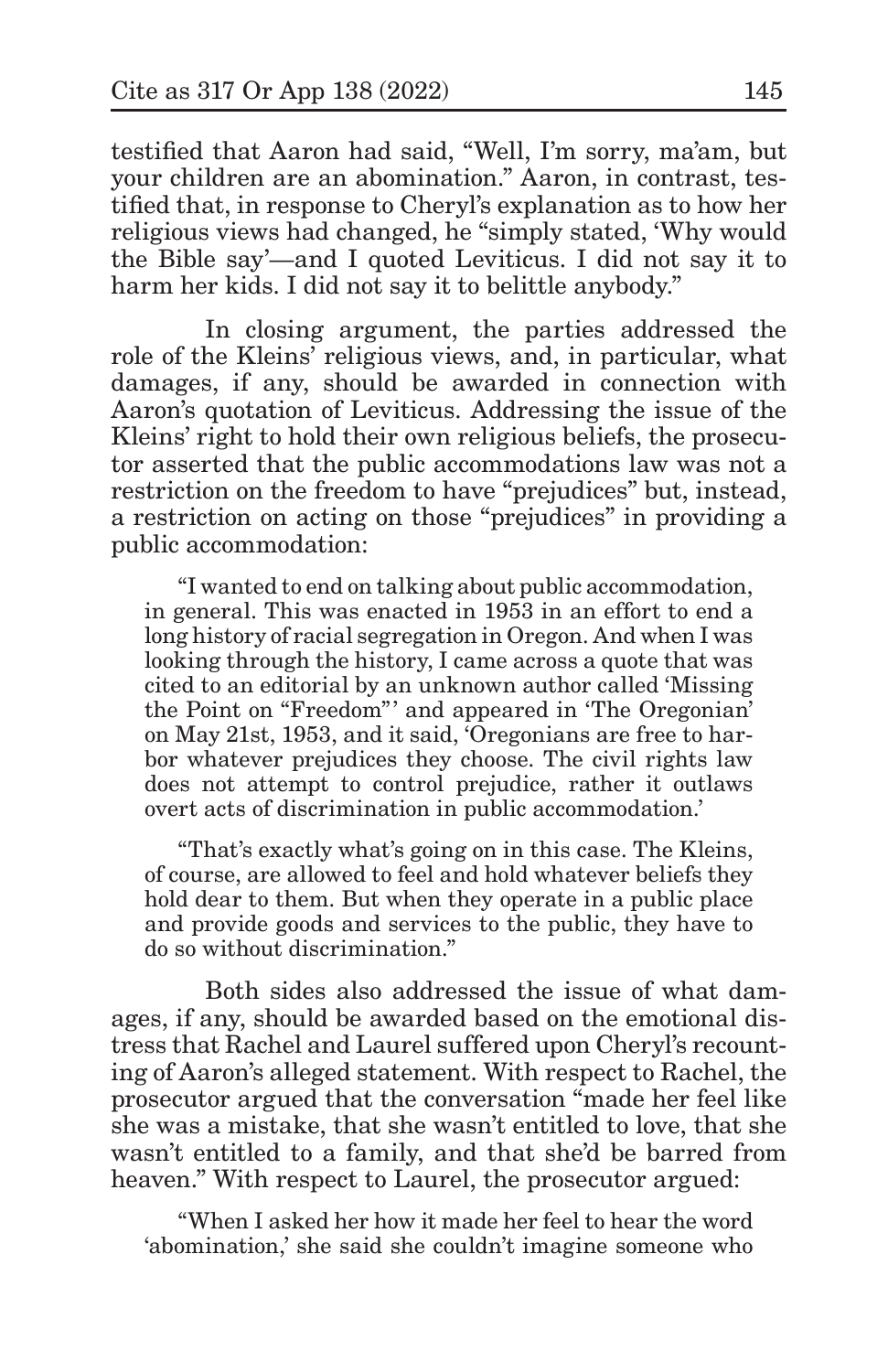testified that Aaron had said, "Well, I'm sorry, ma'am, but your children are an abomination." Aaron, in contrast, testified that, in response to Cheryl's explanation as to how her religious views had changed, he "simply stated, 'Why would the Bible say'—and I quoted Leviticus. I did not say it to harm her kids. I did not say it to belittle anybody."

In closing argument, the parties addressed the role of the Kleins' religious views, and, in particular, what damages, if any, should be awarded in connection with Aaron's quotation of Leviticus. Addressing the issue of the Kleins' right to hold their own religious beliefs, the prosecutor asserted that the public accommodations law was not a restriction on the freedom to have "prejudices" but, instead, a restriction on acting on those "prejudices" in providing a public accommodation:

"I wanted to end on talking about public accommodation, in general. This was enacted in 1953 in an effort to end a long history of racial segregation in Oregon. And when I was looking through the history, I came across a quote that was cited to an editorial by an unknown author called 'Missing the Point on "Freedom"' and appeared in 'The Oregonian' on May 21st, 1953, and it said, 'Oregonians are free to harbor whatever prejudices they choose. The civil rights law does not attempt to control prejudice, rather it outlaws overt acts of discrimination in public accommodation.'

"That's exactly what's going on in this case. The Kleins, of course, are allowed to feel and hold whatever beliefs they hold dear to them. But when they operate in a public place and provide goods and services to the public, they have to do so without discrimination."

Both sides also addressed the issue of what damages, if any, should be awarded based on the emotional distress that Rachel and Laurel suffered upon Cheryl's recounting of Aaron's alleged statement. With respect to Rachel, the prosecutor argued that the conversation "made her feel like she was a mistake, that she wasn't entitled to love, that she wasn't entitled to a family, and that she'd be barred from heaven." With respect to Laurel, the prosecutor argued:

"When I asked her how it made her feel to hear the word 'abomination,' she said she couldn't imagine someone who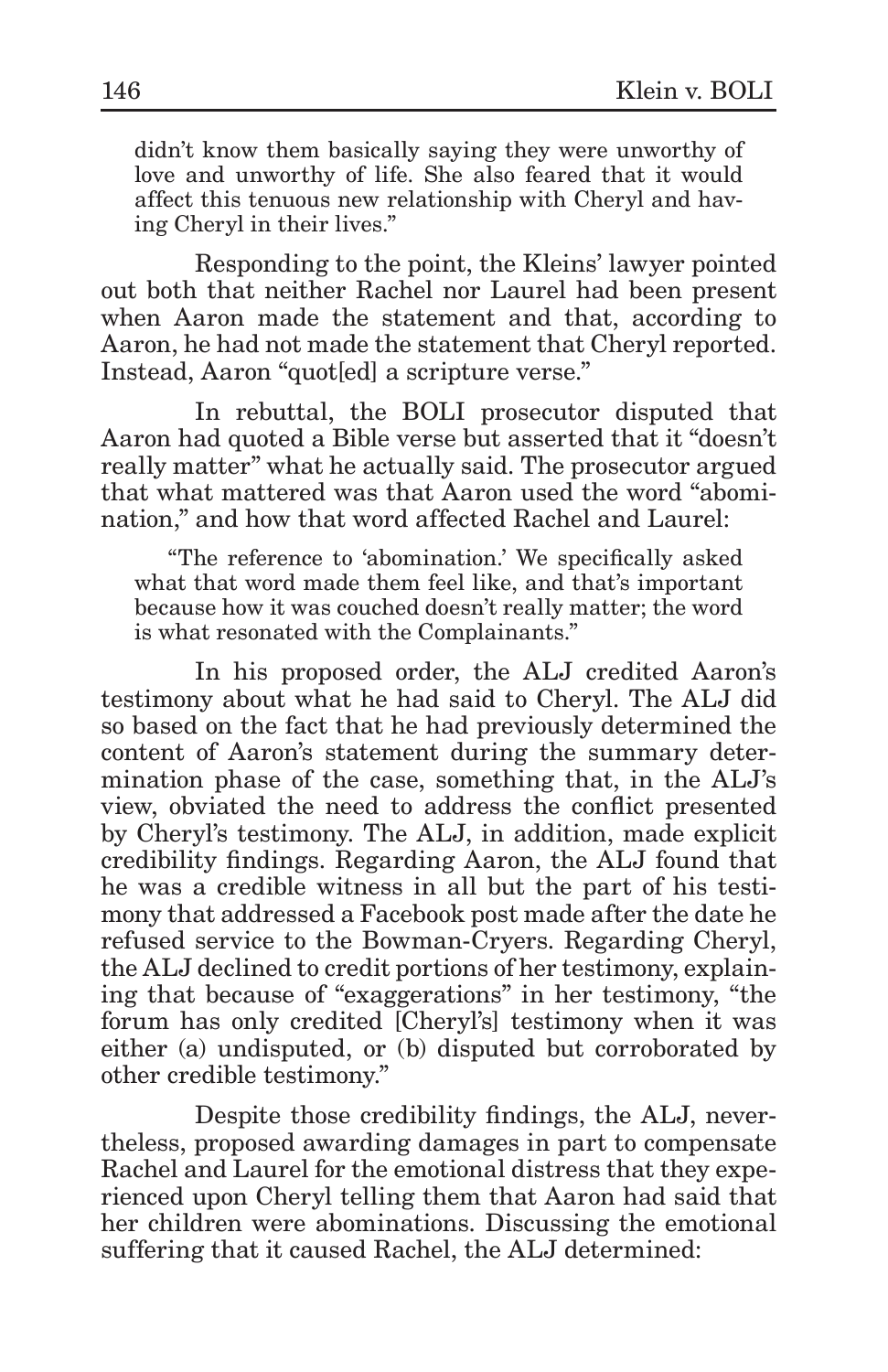didn't know them basically saying they were unworthy of love and unworthy of life. She also feared that it would affect this tenuous new relationship with Cheryl and having Cheryl in their lives."

Responding to the point, the Kleins' lawyer pointed out both that neither Rachel nor Laurel had been present when Aaron made the statement and that, according to Aaron, he had not made the statement that Cheryl reported. Instead, Aaron "quot[ed] a scripture verse."

In rebuttal, the BOLI prosecutor disputed that Aaron had quoted a Bible verse but asserted that it "doesn't really matter" what he actually said. The prosecutor argued that what mattered was that Aaron used the word "abomination," and how that word affected Rachel and Laurel:

"The reference to 'abomination.' We specifically asked what that word made them feel like, and that's important because how it was couched doesn't really matter; the word is what resonated with the Complainants."

In his proposed order, the ALJ credited Aaron's testimony about what he had said to Cheryl. The ALJ did so based on the fact that he had previously determined the content of Aaron's statement during the summary determination phase of the case, something that, in the ALJ's view, obviated the need to address the conflict presented by Cheryl's testimony. The ALJ, in addition, made explicit credibility findings. Regarding Aaron, the ALJ found that he was a credible witness in all but the part of his testimony that addressed a Facebook post made after the date he refused service to the Bowman-Cryers. Regarding Cheryl, the ALJ declined to credit portions of her testimony, explaining that because of "exaggerations" in her testimony, "the forum has only credited [Cheryl's] testimony when it was either (a) undisputed, or (b) disputed but corroborated by other credible testimony."

Despite those credibility findings, the ALJ, nevertheless, proposed awarding damages in part to compensate Rachel and Laurel for the emotional distress that they experienced upon Cheryl telling them that Aaron had said that her children were abominations. Discussing the emotional suffering that it caused Rachel, the ALJ determined: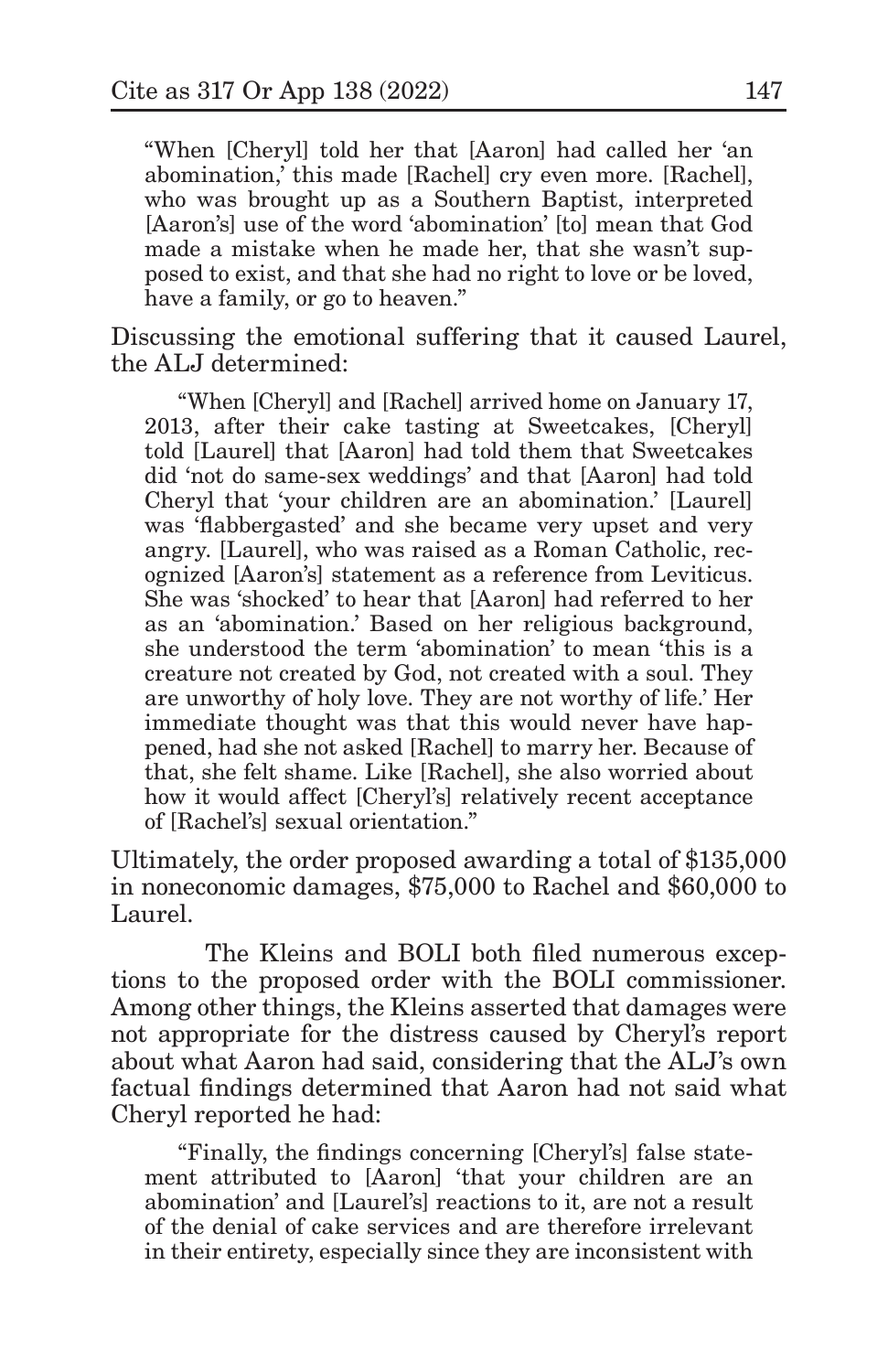"When [Cheryl] told her that [Aaron] had called her 'an abomination,' this made [Rachel] cry even more. [Rachel], who was brought up as a Southern Baptist, interpreted [Aaron's] use of the word 'abomination' [to] mean that God made a mistake when he made her, that she wasn't supposed to exist, and that she had no right to love or be loved, have a family, or go to heaven."

Discussing the emotional suffering that it caused Laurel, the ALJ determined:

"When [Cheryl] and [Rachel] arrived home on January 17, 2013, after their cake tasting at Sweetcakes, [Cheryl] told [Laurel] that [Aaron] had told them that Sweetcakes did 'not do same-sex weddings' and that [Aaron] had told Cheryl that 'your children are an abomination.' [Laurel] was 'flabbergasted' and she became very upset and very angry. [Laurel], who was raised as a Roman Catholic, recognized [Aaron's] statement as a reference from Leviticus. She was 'shocked' to hear that [Aaron] had referred to her as an 'abomination.' Based on her religious background, she understood the term 'abomination' to mean 'this is a creature not created by God, not created with a soul. They are unworthy of holy love. They are not worthy of life.' Her immediate thought was that this would never have happened, had she not asked [Rachel] to marry her. Because of that, she felt shame. Like [Rachel], she also worried about how it would affect [Cheryl's] relatively recent acceptance of [Rachel's] sexual orientation."

Ultimately, the order proposed awarding a total of \$135,000 in noneconomic damages, \$75,000 to Rachel and \$60,000 to Laurel.

The Kleins and BOLI both filed numerous exceptions to the proposed order with the BOLI commissioner. Among other things, the Kleins asserted that damages were not appropriate for the distress caused by Cheryl's report about what Aaron had said, considering that the ALJ's own factual findings determined that Aaron had not said what Cheryl reported he had:

"Finally, the findings concerning [Cheryl's] false statement attributed to [Aaron] 'that your children are an abomination' and [Laurel's] reactions to it, are not a result of the denial of cake services and are therefore irrelevant in their entirety, especially since they are inconsistent with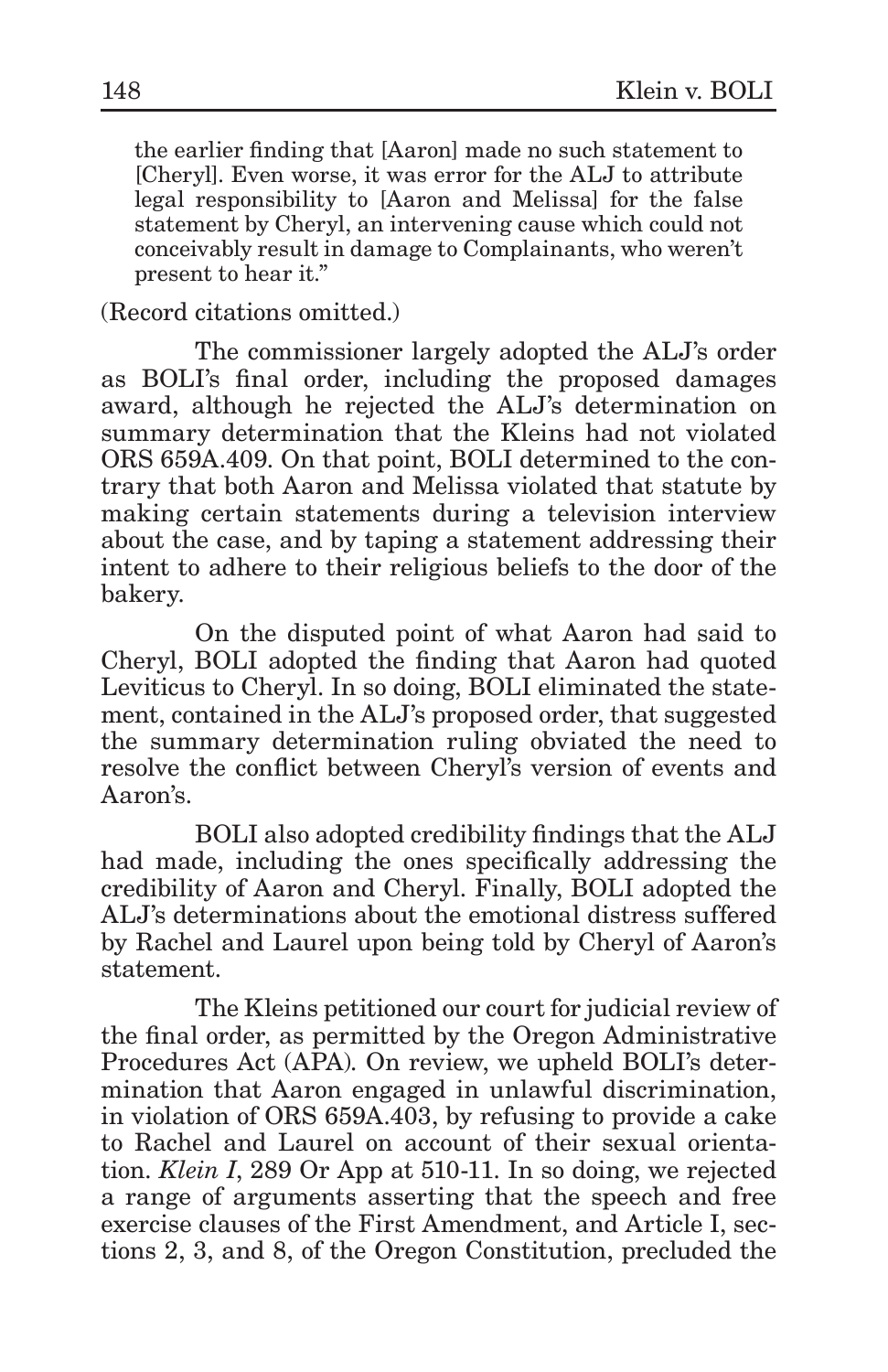the earlier finding that [Aaron] made no such statement to [Cheryl]. Even worse, it was error for the ALJ to attribute legal responsibility to [Aaron and Melissa] for the false statement by Cheryl, an intervening cause which could not conceivably result in damage to Complainants, who weren't present to hear it."

(Record citations omitted.)

The commissioner largely adopted the ALJ's order as BOLI's final order, including the proposed damages award, although he rejected the ALJ's determination on summary determination that the Kleins had not violated ORS 659A.409. On that point, BOLI determined to the contrary that both Aaron and Melissa violated that statute by making certain statements during a television interview about the case, and by taping a statement addressing their intent to adhere to their religious beliefs to the door of the bakery.

On the disputed point of what Aaron had said to Cheryl, BOLI adopted the finding that Aaron had quoted Leviticus to Cheryl. In so doing, BOLI eliminated the statement, contained in the ALJ's proposed order, that suggested the summary determination ruling obviated the need to resolve the conflict between Cheryl's version of events and Aaron's.

BOLI also adopted credibility findings that the ALJ had made, including the ones specifically addressing the credibility of Aaron and Cheryl. Finally, BOLI adopted the ALJ's determinations about the emotional distress suffered by Rachel and Laurel upon being told by Cheryl of Aaron's statement.

The Kleins petitioned our court for judicial review of the final order, as permitted by the Oregon Administrative Procedures Act (APA). On review, we upheld BOLI's determination that Aaron engaged in unlawful discrimination, in violation of ORS 659A.403, by refusing to provide a cake to Rachel and Laurel on account of their sexual orientation. *Klein I*, 289 Or App at 510-11. In so doing, we rejected a range of arguments asserting that the speech and free exercise clauses of the First Amendment, and Article I, sections 2, 3, and 8, of the Oregon Constitution, precluded the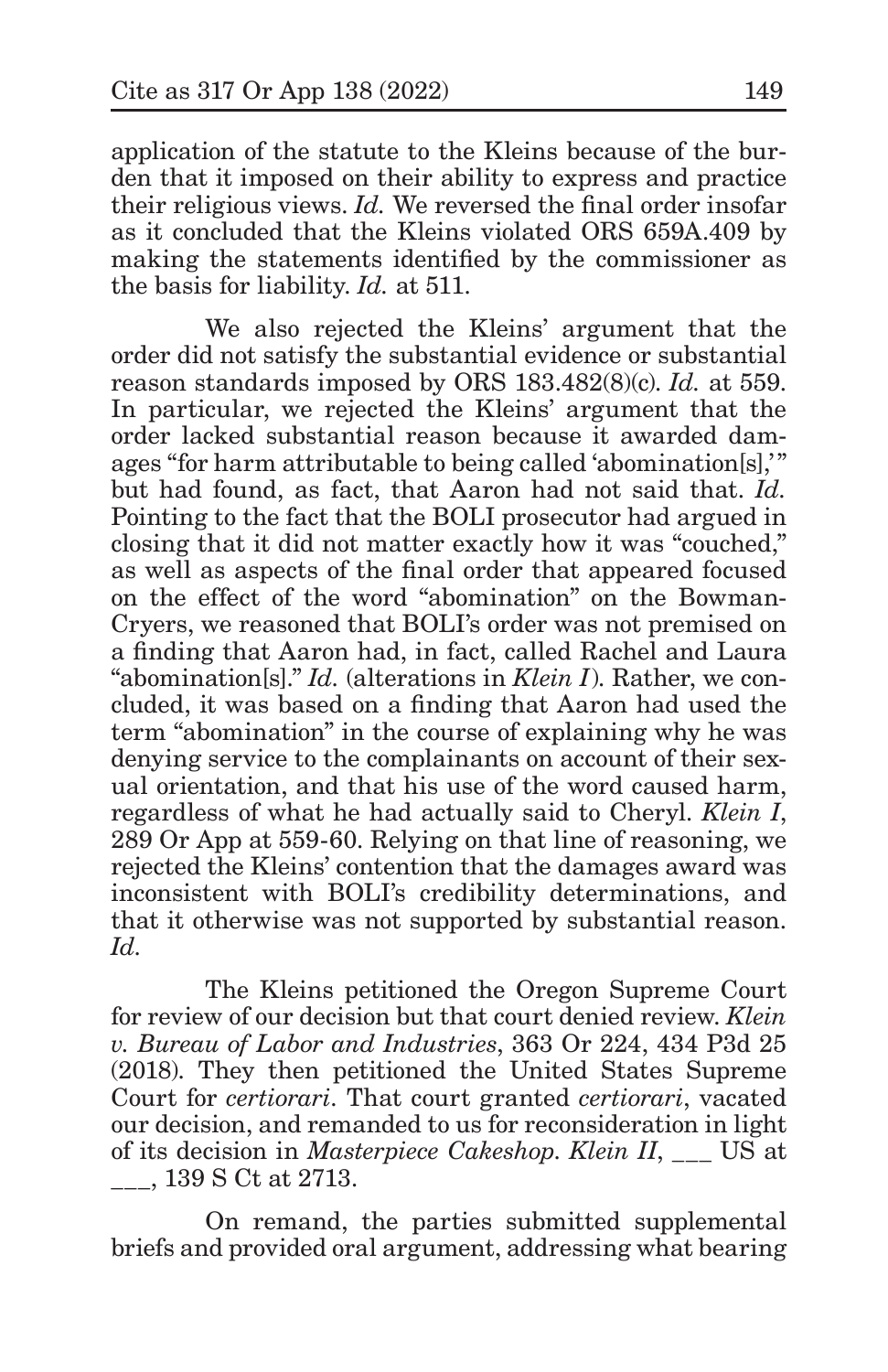application of the statute to the Kleins because of the burden that it imposed on their ability to express and practice their religious views. *Id.* We reversed the final order insofar as it concluded that the Kleins violated ORS 659A.409 by making the statements identified by the commissioner as the basis for liability. *Id.* at 511.

We also rejected the Kleins' argument that the order did not satisfy the substantial evidence or substantial reason standards imposed by ORS 183.482(8)(c). *Id.* at 559. In particular, we rejected the Kleins' argument that the order lacked substantial reason because it awarded damages "for harm attributable to being called 'abomination[s],'" but had found, as fact, that Aaron had not said that. *Id.* Pointing to the fact that the BOLI prosecutor had argued in closing that it did not matter exactly how it was "couched," as well as aspects of the final order that appeared focused on the effect of the word "abomination" on the Bowman-Cryers, we reasoned that BOLI's order was not premised on a finding that Aaron had, in fact, called Rachel and Laura "abomination[s]." *Id.* (alterations in *Klein I*). Rather, we concluded, it was based on a finding that Aaron had used the term "abomination" in the course of explaining why he was denying service to the complainants on account of their sexual orientation, and that his use of the word caused harm, regardless of what he had actually said to Cheryl. *Klein I*, 289 Or App at 559-60. Relying on that line of reasoning, we rejected the Kleins' contention that the damages award was inconsistent with BOLI's credibility determinations, and that it otherwise was not supported by substantial reason. *Id.*

The Kleins petitioned the Oregon Supreme Court for review of our decision but that court denied review. *Klein v. Bureau of Labor and Industries*, 363 Or 224, 434 P3d 25 (2018). They then petitioned the United States Supreme Court for *certiorari*. That court granted *certiorari*, vacated our decision, and remanded to us for reconsideration in light of its decision in *Masterpiece Cakeshop*. *Klein II*, \_\_\_ US at \_\_\_, 139 S Ct at 2713.

On remand, the parties submitted supplemental briefs and provided oral argument, addressing what bearing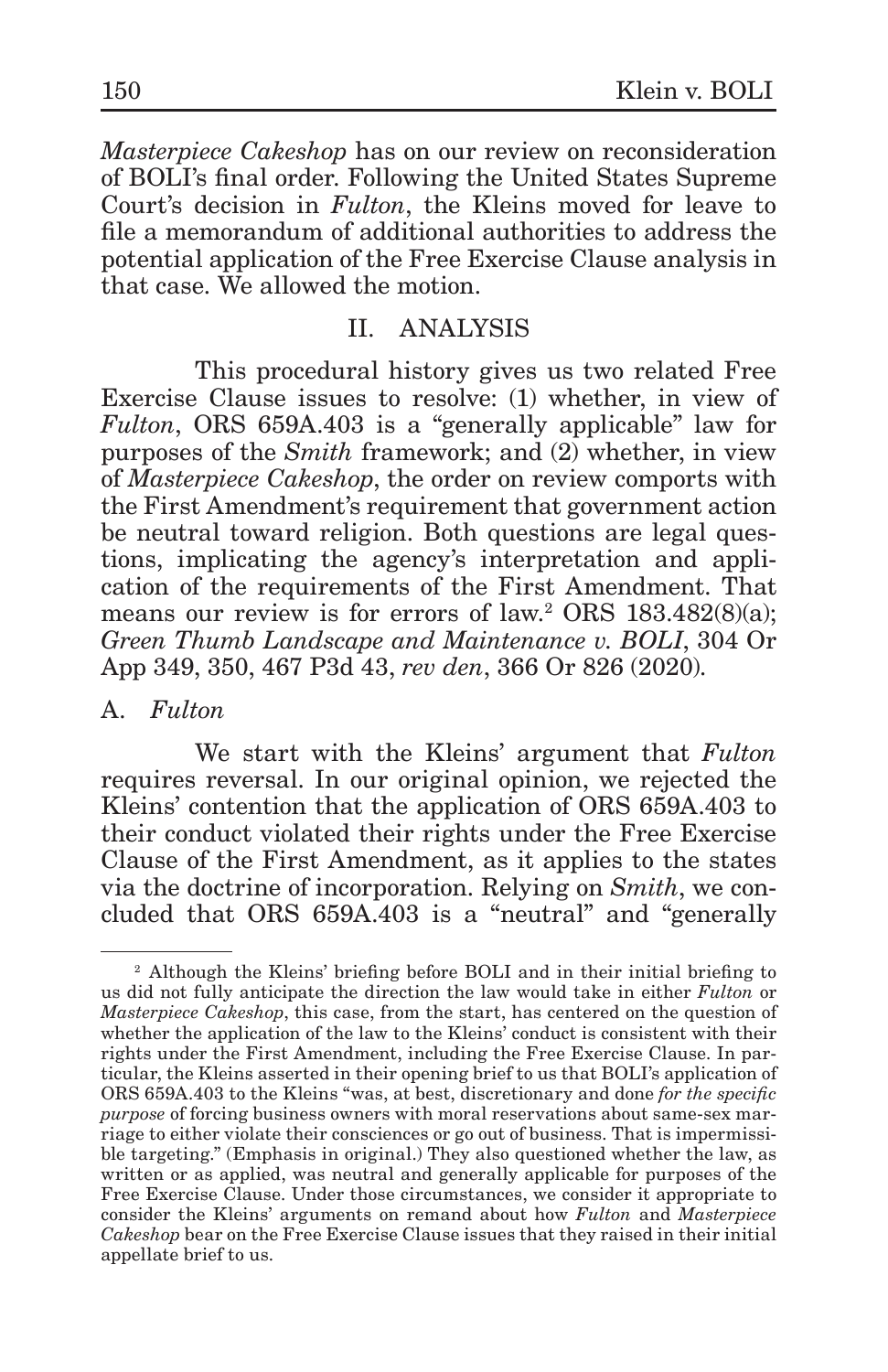*Masterpiece Cakeshop* has on our review on reconsideration of BOLI's final order. Following the United States Supreme Court's decision in *Fulton*, the Kleins moved for leave to file a memorandum of additional authorities to address the potential application of the Free Exercise Clause analysis in that case. We allowed the motion.

### II. ANALYSIS

This procedural history gives us two related Free Exercise Clause issues to resolve: (1) whether, in view of *Fulton*, ORS 659A.403 is a "generally applicable" law for purposes of the *Smith* framework; and (2) whether, in view of *Masterpiece Cakeshop*, the order on review comports with the First Amendment's requirement that government action be neutral toward religion. Both questions are legal questions, implicating the agency's interpretation and application of the requirements of the First Amendment. That means our review is for errors of law.<sup>2</sup> ORS 183.482(8)(a); *Green Thumb Landscape and Maintenance v. BOLI*, 304 Or App 349, 350, 467 P3d 43, *rev den*, 366 Or 826 (2020).

### A. *Fulton*

We start with the Kleins' argument that *Fulton* requires reversal. In our original opinion, we rejected the Kleins' contention that the application of ORS 659A.403 to their conduct violated their rights under the Free Exercise Clause of the First Amendment, as it applies to the states via the doctrine of incorporation. Relying on *Smith*, we concluded that ORS 659A.403 is a "neutral" and "generally

<sup>2</sup> Although the Kleins' briefing before BOLI and in their initial briefing to us did not fully anticipate the direction the law would take in either *Fulton* or *Masterpiece Cakeshop*, this case, from the start, has centered on the question of whether the application of the law to the Kleins' conduct is consistent with their rights under the First Amendment, including the Free Exercise Clause. In particular, the Kleins asserted in their opening brief to us that BOLI's application of ORS 659A.403 to the Kleins "was, at best, discretionary and done *for the specific purpose* of forcing business owners with moral reservations about same-sex marriage to either violate their consciences or go out of business. That is impermissible targeting." (Emphasis in original.) They also questioned whether the law, as written or as applied, was neutral and generally applicable for purposes of the Free Exercise Clause. Under those circumstances, we consider it appropriate to consider the Kleins' arguments on remand about how *Fulton* and *Masterpiece Cakeshop* bear on the Free Exercise Clause issues that they raised in their initial appellate brief to us.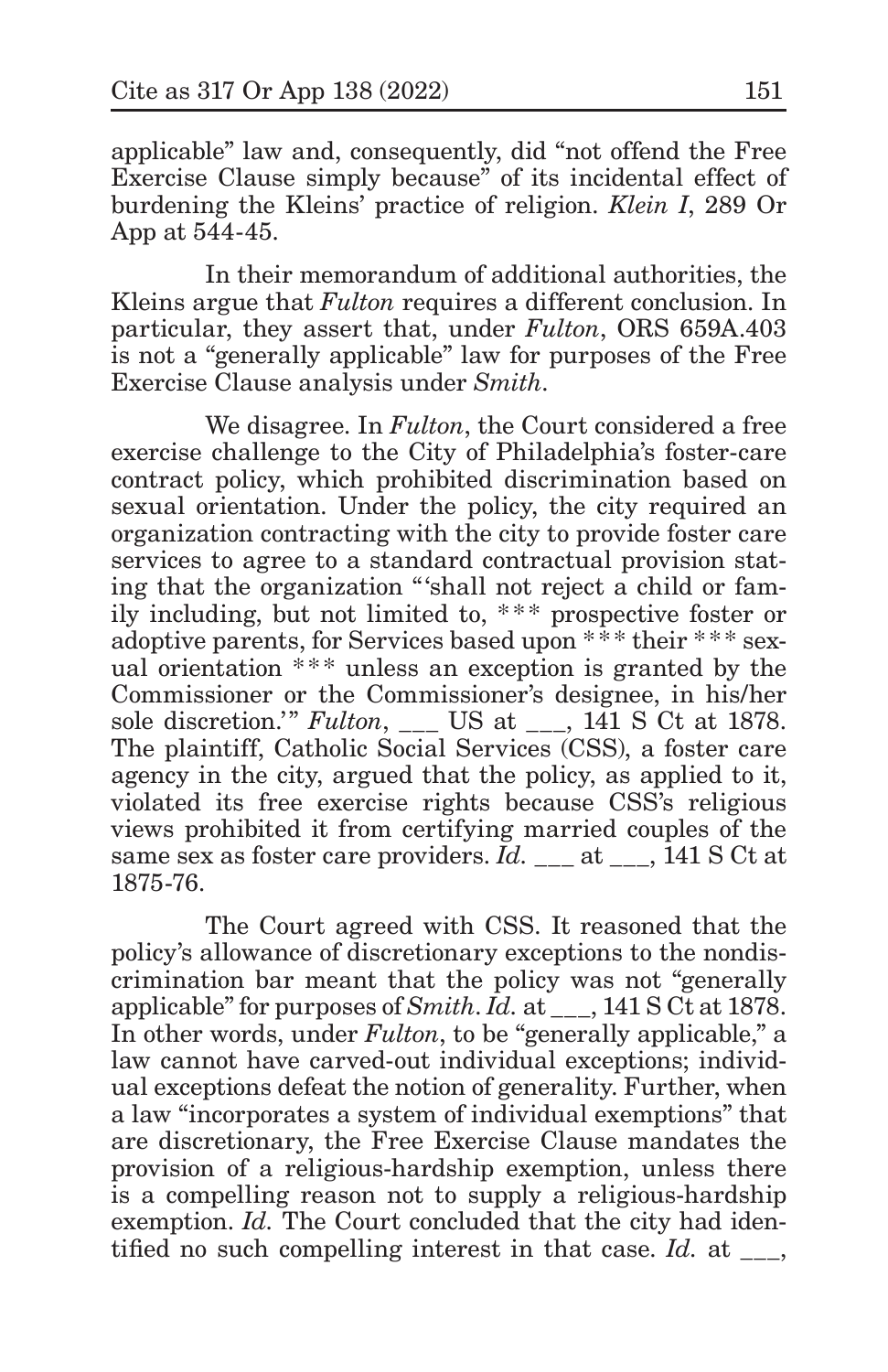applicable" law and, consequently, did "not offend the Free Exercise Clause simply because" of its incidental effect of burdening the Kleins' practice of religion. *Klein I*, 289 Or App at 544-45.

In their memorandum of additional authorities, the Kleins argue that *Fulton* requires a different conclusion. In particular, they assert that, under *Fulton*, ORS 659A.403 is not a "generally applicable" law for purposes of the Free Exercise Clause analysis under *Smith*.

We disagree. In *Fulton*, the Court considered a free exercise challenge to the City of Philadelphia's foster-care contract policy, which prohibited discrimination based on sexual orientation. Under the policy, the city required an organization contracting with the city to provide foster care services to agree to a standard contractual provision stating that the organization "'shall not reject a child or family including, but not limited to, \*\*\* prospective foster or adoptive parents, for Services based upon \* \* \* their \*\* \* sexual orientation \*\*\* unless an exception is granted by the Commissioner or the Commissioner's designee, in his/her sole discretion.'" *Fulton*, \_\_\_ US at \_\_\_, 141 S Ct at 1878. The plaintiff, Catholic Social Services (CSS), a foster care agency in the city, argued that the policy, as applied to it, violated its free exercise rights because CSS's religious views prohibited it from certifying married couples of the same sex as foster care providers. *Id.* at  $\overline{141 \text{ S Ct}}$  at 1875-76.

The Court agreed with CSS. It reasoned that the policy's allowance of discretionary exceptions to the nondiscrimination bar meant that the policy was not "generally applicable" for purposes of *Smith*. *Id.* at \_\_\_, 141 S Ct at 1878. In other words, under *Fulton*, to be "generally applicable," a law cannot have carved-out individual exceptions; individual exceptions defeat the notion of generality. Further, when a law "incorporates a system of individual exemptions" that are discretionary, the Free Exercise Clause mandates the provision of a religious-hardship exemption, unless there is a compelling reason not to supply a religious-hardship exemption. *Id.* The Court concluded that the city had identified no such compelling interest in that case. *Id.* at \_\_\_,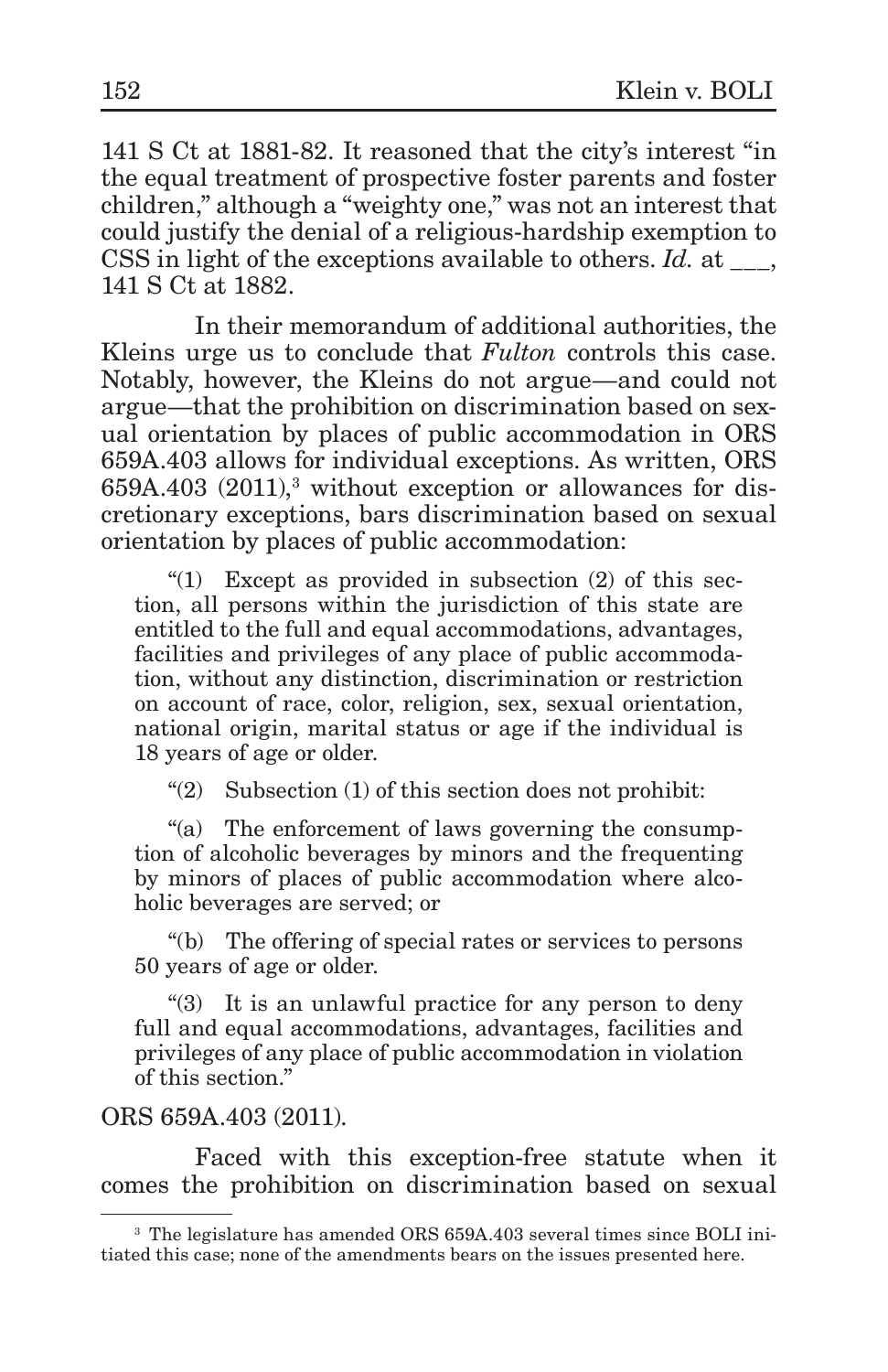141 S Ct at 1881-82. It reasoned that the city's interest "in the equal treatment of prospective foster parents and foster children," although a "weighty one," was not an interest that could justify the denial of a religious-hardship exemption to CSS in light of the exceptions available to others. *Id.* at  $\qquad$ . 141 S Ct at 1882.

In their memorandum of additional authorities, the Kleins urge us to conclude that *Fulton* controls this case. Notably, however, the Kleins do not argue—and could not argue—that the prohibition on discrimination based on sexual orientation by places of public accommodation in ORS 659A.403 allows for individual exceptions. As written, ORS  $659A.403$   $(2011)<sup>3</sup>$  without exception or allowances for discretionary exceptions, bars discrimination based on sexual orientation by places of public accommodation:

"(1) Except as provided in subsection (2) of this section, all persons within the jurisdiction of this state are entitled to the full and equal accommodations, advantages, facilities and privileges of any place of public accommodation, without any distinction, discrimination or restriction on account of race, color, religion, sex, sexual orientation, national origin, marital status or age if the individual is 18 years of age or older.

"(2) Subsection (1) of this section does not prohibit:

"(a) The enforcement of laws governing the consumption of alcoholic beverages by minors and the frequenting by minors of places of public accommodation where alcoholic beverages are served; or

"(b) The offering of special rates or services to persons 50 years of age or older.

"(3) It is an unlawful practice for any person to deny full and equal accommodations, advantages, facilities and privileges of any place of public accommodation in violation of this section."

#### ORS 659A.403 (2011).

Faced with this exception-free statute when it comes the prohibition on discrimination based on sexual

<sup>3</sup> The legislature has amended ORS 659A.403 several times since BOLI initiated this case; none of the amendments bears on the issues presented here.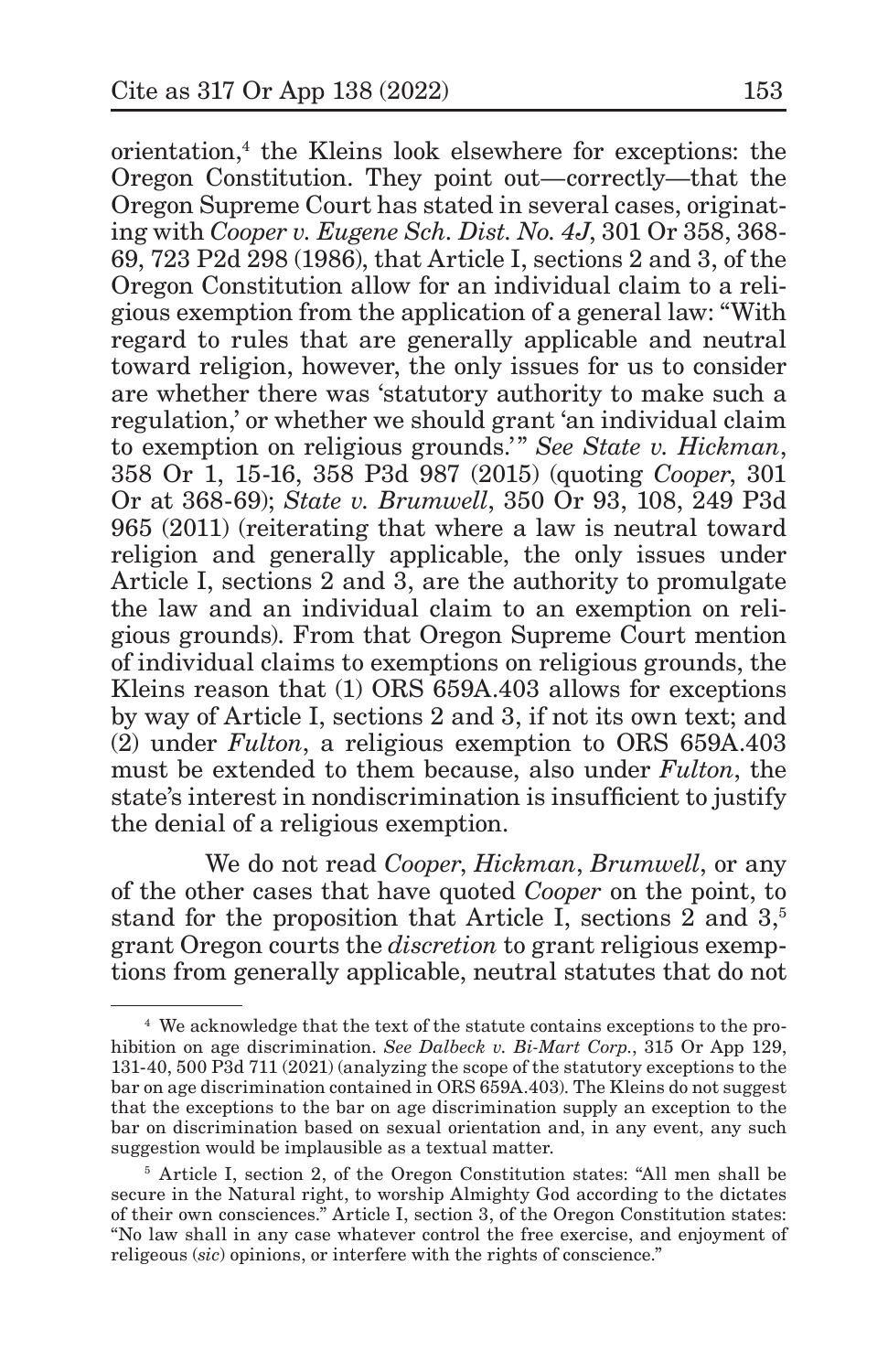orientation,4 the Kleins look elsewhere for exceptions: the Oregon Constitution. They point out—correctly—that the Oregon Supreme Court has stated in several cases, originating with *Cooper v. Eugene Sch. Dist. No. 4J*, 301 Or 358, 368- 69, 723 P2d 298 (1986), that Article I, sections 2 and 3, of the Oregon Constitution allow for an individual claim to a religious exemption from the application of a general law: "With regard to rules that are generally applicable and neutral toward religion, however, the only issues for us to consider are whether there was 'statutory authority to make such a regulation,' or whether we should grant 'an individual claim to exemption on religious grounds.'" *See State v. Hickman*, 358 Or 1, 15-16, 358 P3d 987 (2015) (quoting *Cooper*, 301 Or at 368-69); *State v. Brumwell*, 350 Or 93, 108, 249 P3d 965 (2011) (reiterating that where a law is neutral toward religion and generally applicable, the only issues under Article I, sections 2 and 3, are the authority to promulgate the law and an individual claim to an exemption on religious grounds). From that Oregon Supreme Court mention of individual claims to exemptions on religious grounds, the Kleins reason that (1) ORS 659A.403 allows for exceptions by way of Article I, sections 2 and 3, if not its own text; and (2) under *Fulton*, a religious exemption to ORS 659A.403 must be extended to them because, also under *Fulton*, the state's interest in nondiscrimination is insufficient to justify the denial of a religious exemption.

We do not read *Cooper*, *Hickman*, *Brumwell*, or any of the other cases that have quoted *Cooper* on the point, to stand for the proposition that Article I, sections 2 and 3,<sup>5</sup> grant Oregon courts the *discretion* to grant religious exemptions from generally applicable, neutral statutes that do not

<sup>4</sup> We acknowledge that the text of the statute contains exceptions to the prohibition on age discrimination. *See Dalbeck v. Bi-Mart Corp.*, 315 Or App 129, 131-40, 500 P3d 711 (2021) (analyzing the scope of the statutory exceptions to the bar on age discrimination contained in ORS 659A.403). The Kleins do not suggest that the exceptions to the bar on age discrimination supply an exception to the bar on discrimination based on sexual orientation and, in any event, any such suggestion would be implausible as a textual matter.

<sup>5</sup> Article I, section 2, of the Oregon Constitution states: "All men shall be secure in the Natural right, to worship Almighty God according to the dictates of their own consciences." Article I, section 3, of the Oregon Constitution states: "No law shall in any case whatever control the free exercise, and enjoyment of religeous (*sic*) opinions, or interfere with the rights of conscience."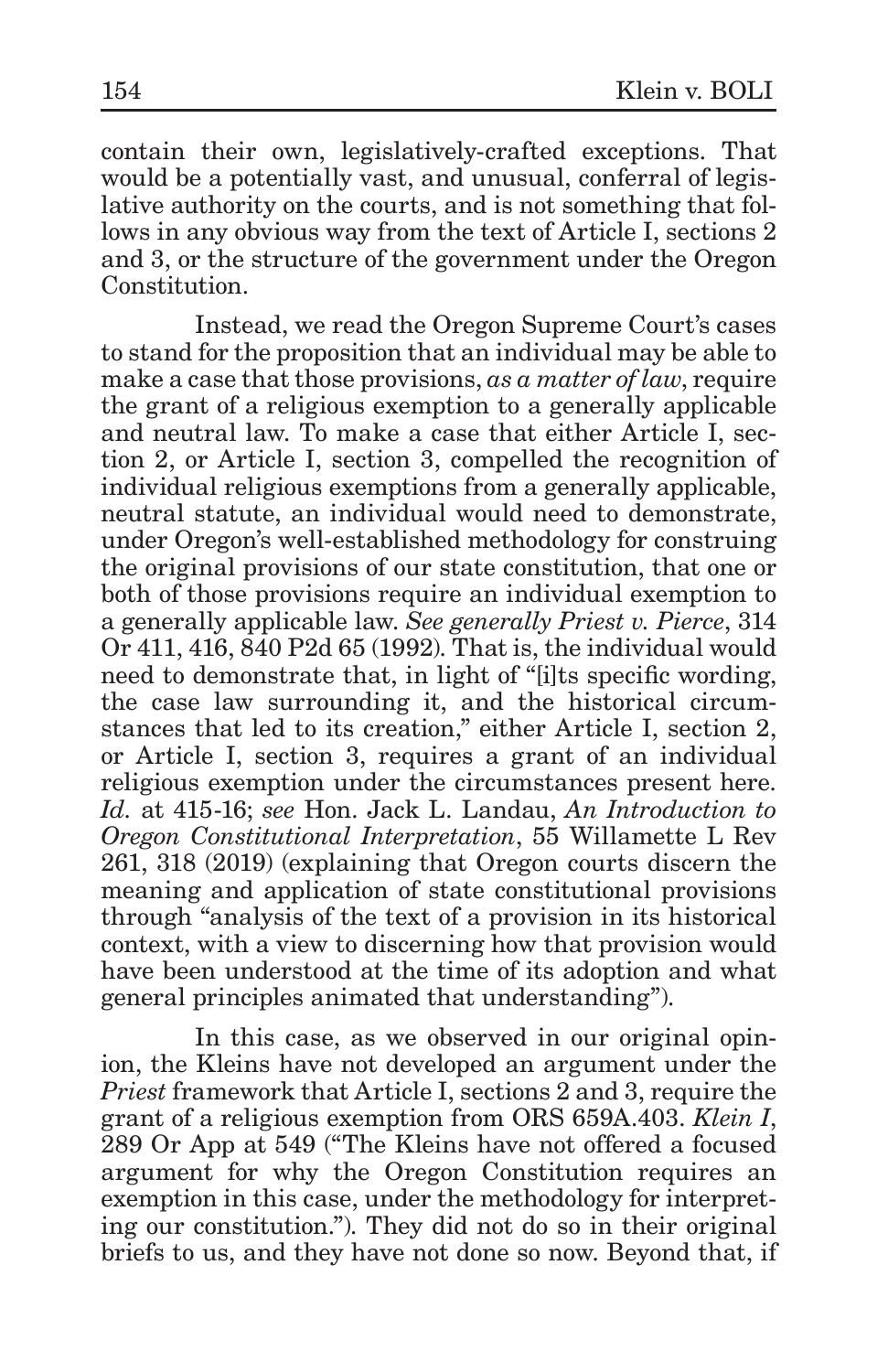contain their own, legislatively-crafted exceptions. That would be a potentially vast, and unusual, conferral of legislative authority on the courts, and is not something that follows in any obvious way from the text of Article I, sections 2 and 3, or the structure of the government under the Oregon Constitution.

Instead, we read the Oregon Supreme Court's cases to stand for the proposition that an individual may be able to make a case that those provisions, *as a matter of law*, require the grant of a religious exemption to a generally applicable and neutral law. To make a case that either Article I, section 2, or Article I, section 3, compelled the recognition of individual religious exemptions from a generally applicable, neutral statute, an individual would need to demonstrate, under Oregon's well-established methodology for construing the original provisions of our state constitution, that one or both of those provisions require an individual exemption to a generally applicable law. *See generally Priest v. Pierce*, 314 Or 411, 416, 840 P2d 65 (1992). That is, the individual would need to demonstrate that, in light of "[i]ts specific wording, the case law surrounding it, and the historical circumstances that led to its creation," either Article I, section 2, or Article I, section 3, requires a grant of an individual religious exemption under the circumstances present here. *Id.* at 415-16; *see* Hon. Jack L. Landau, *An Introduction to Oregon Constitutional Interpretation*, 55 Willamette L Rev 261, 318 (2019) (explaining that Oregon courts discern the meaning and application of state constitutional provisions through "analysis of the text of a provision in its historical context, with a view to discerning how that provision would have been understood at the time of its adoption and what general principles animated that understanding").

In this case, as we observed in our original opinion, the Kleins have not developed an argument under the *Priest* framework that Article I, sections 2 and 3, require the grant of a religious exemption from ORS 659A.403. *Klein I*, 289 Or App at 549 ("The Kleins have not offered a focused argument for why the Oregon Constitution requires an exemption in this case, under the methodology for interpreting our constitution."). They did not do so in their original briefs to us, and they have not done so now. Beyond that, if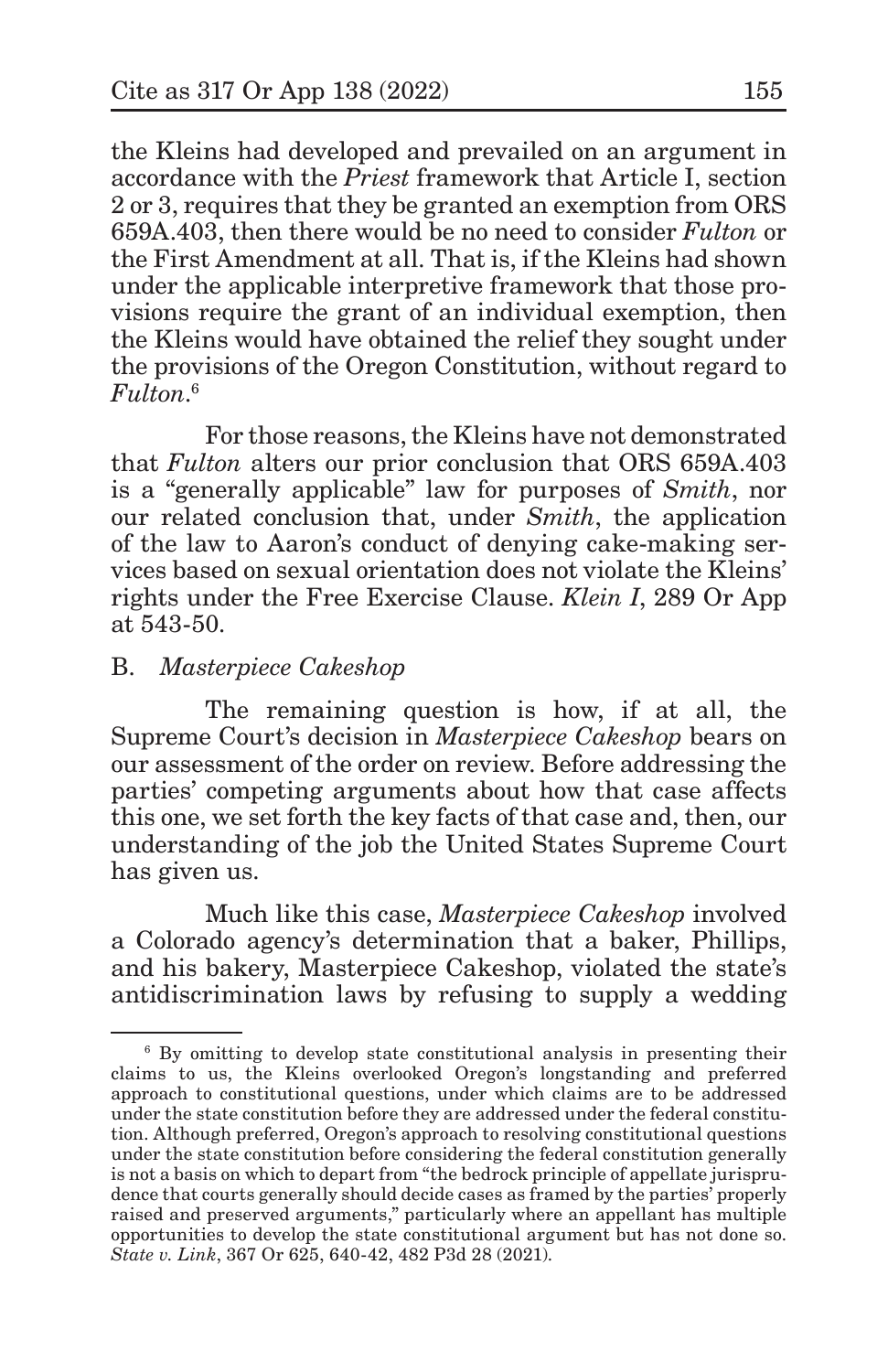the Kleins had developed and prevailed on an argument in accordance with the *Priest* framework that Article I, section 2 or 3, requires that they be granted an exemption from ORS 659A.403, then there would be no need to consider *Fulton* or the First Amendment at all. That is, if the Kleins had shown under the applicable interpretive framework that those provisions require the grant of an individual exemption, then the Kleins would have obtained the relief they sought under the provisions of the Oregon Constitution, without regard to *Fulton*. 6

For those reasons, the Kleins have not demonstrated that *Fulton* alters our prior conclusion that ORS 659A.403 is a "generally applicable" law for purposes of *Smith*, nor our related conclusion that, under *Smith*, the application of the law to Aaron's conduct of denying cake-making services based on sexual orientation does not violate the Kleins' rights under the Free Exercise Clause. *Klein I*, 289 Or App at 543-50.

# B. *Masterpiece Cakeshop*

The remaining question is how, if at all, the Supreme Court's decision in *Masterpiece Cakeshop* bears on our assessment of the order on review. Before addressing the parties' competing arguments about how that case affects this one, we set forth the key facts of that case and, then, our understanding of the job the United States Supreme Court has given us.

Much like this case, *Masterpiece Cakeshop* involved a Colorado agency's determination that a baker, Phillips, and his bakery, Masterpiece Cakeshop, violated the state's antidiscrimination laws by refusing to supply a wedding

<sup>6</sup> By omitting to develop state constitutional analysis in presenting their claims to us, the Kleins overlooked Oregon's longstanding and preferred approach to constitutional questions, under which claims are to be addressed under the state constitution before they are addressed under the federal constitution. Although preferred, Oregon's approach to resolving constitutional questions under the state constitution before considering the federal constitution generally is not a basis on which to depart from "the bedrock principle of appellate jurisprudence that courts generally should decide cases as framed by the parties' properly raised and preserved arguments," particularly where an appellant has multiple opportunities to develop the state constitutional argument but has not done so. *State v. Link*, 367 Or 625, 640-42, 482 P3d 28 (2021).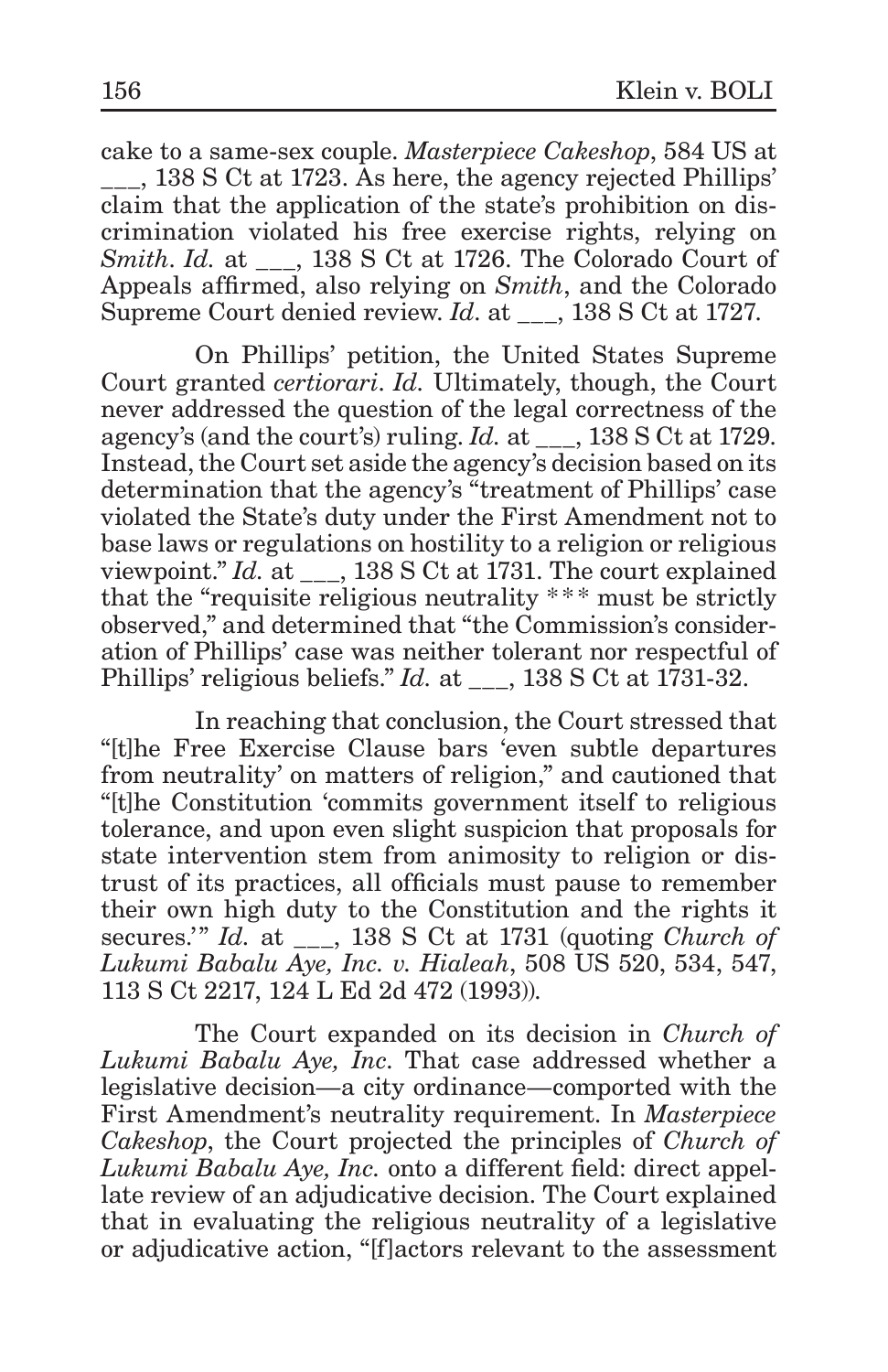cake to a same-sex couple. *Masterpiece Cakeshop*, 584 US at \_\_\_, 138 S Ct at 1723. As here, the agency rejected Phillips' claim that the application of the state's prohibition on discrimination violated his free exercise rights, relying on *Smith*. *Id.* at \_\_\_, 138 S Ct at 1726. The Colorado Court of Appeals affirmed, also relying on *Smith*, and the Colorado Supreme Court denied review. *Id.* at \_\_\_, 138 S Ct at 1727.

On Phillips' petition, the United States Supreme Court granted *certiorari*. *Id.* Ultimately, though, the Court never addressed the question of the legal correctness of the agency's (and the court's) ruling. *Id.* at \_\_\_, 138 S Ct at 1729. Instead, the Court set aside the agency's decision based on its determination that the agency's "treatment of Phillips' case violated the State's duty under the First Amendment not to base laws or regulations on hostility to a religion or religious viewpoint." *Id.* at \_\_\_, 138 S Ct at 1731. The court explained that the "requisite religious neutrality \*\*\* must be strictly observed," and determined that "the Commission's consideration of Phillips' case was neither tolerant nor respectful of Phillips' religious beliefs." *Id.* at  $\qquad$ , 138 S Ct at 1731-32.

In reaching that conclusion, the Court stressed that "[t]he Free Exercise Clause bars 'even subtle departures from neutrality' on matters of religion," and cautioned that "[t]he Constitution 'commits government itself to religious tolerance, and upon even slight suspicion that proposals for state intervention stem from animosity to religion or distrust of its practices, all officials must pause to remember their own high duty to the Constitution and the rights it secures.'" *Id.* at \_\_\_, 138 S Ct at 1731 (quoting *Church of Lukumi Babalu Aye, Inc. v. Hialeah*, 508 US 520, 534, 547, 113 S Ct 2217, 124 L Ed 2d 472 (1993)).

The Court expanded on its decision in *Church of Lukumi Babalu Aye, Inc*. That case addressed whether a legislative decision—a city ordinance—comported with the First Amendment's neutrality requirement. In *Masterpiece Cakeshop*, the Court projected the principles of *Church of Lukumi Babalu Aye, Inc.* onto a different field: direct appellate review of an adjudicative decision. The Court explained that in evaluating the religious neutrality of a legislative or adjudicative action, "[f]actors relevant to the assessment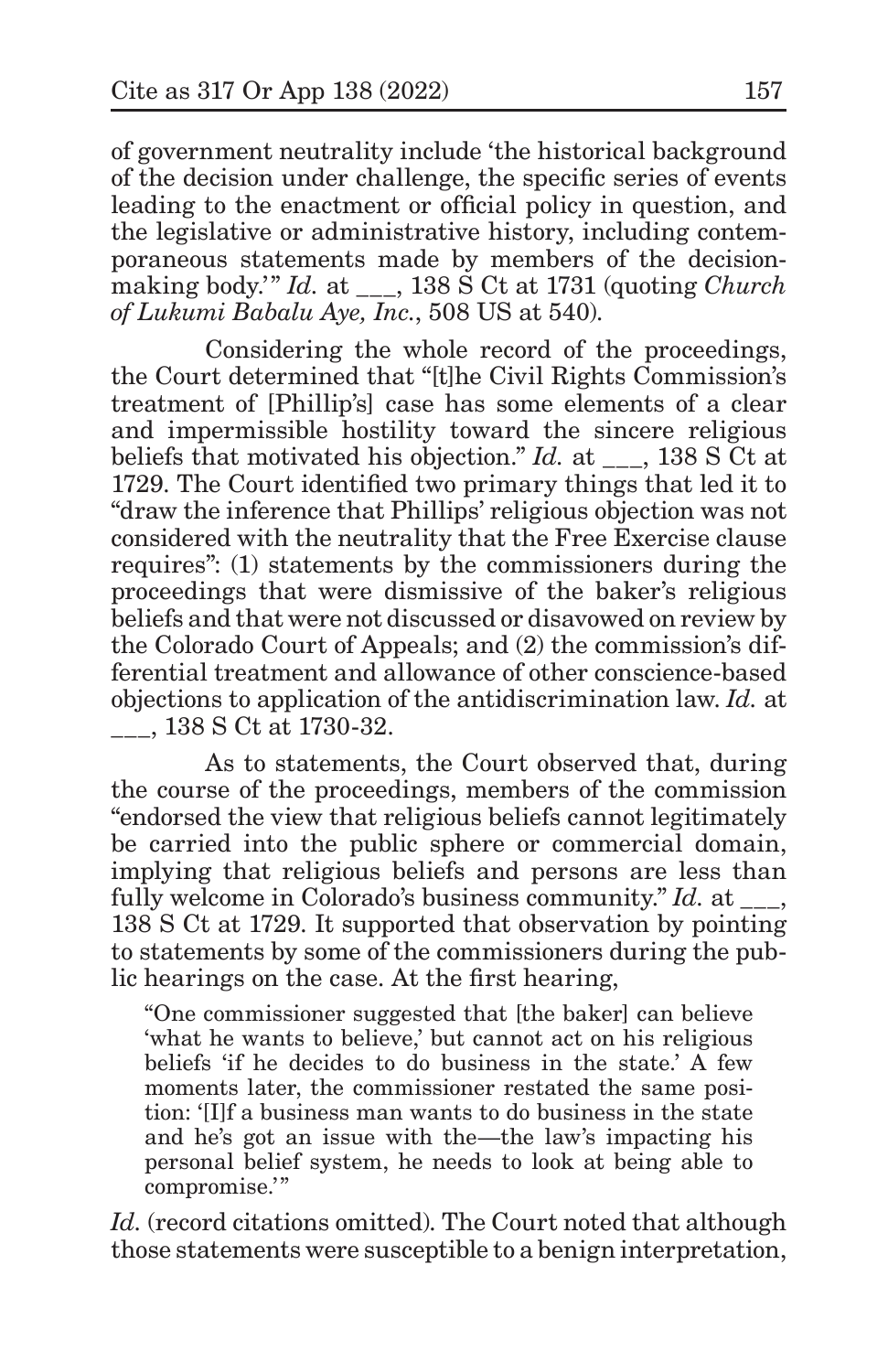of government neutrality include 'the historical background of the decision under challenge, the specific series of events leading to the enactment or official policy in question, and the legislative or administrative history, including contemporaneous statements made by members of the decisionmaking body.'" *Id.* at  $\phantom{0}$ , 138 S Ct at 1731 (quoting *Church*) *of Lukumi Babalu Aye, Inc.*, 508 US at 540).

Considering the whole record of the proceedings, the Court determined that "[t]he Civil Rights Commission's treatment of [Phillip's] case has some elements of a clear and impermissible hostility toward the sincere religious beliefs that motivated his objection." *Id.* at \_\_\_, 138 S Ct at 1729. The Court identified two primary things that led it to "draw the inference that Phillips' religious objection was not considered with the neutrality that the Free Exercise clause requires": (1) statements by the commissioners during the proceedings that were dismissive of the baker's religious beliefs and that were not discussed or disavowed on review by the Colorado Court of Appeals; and (2) the commission's differential treatment and allowance of other conscience-based objections to application of the antidiscrimination law. *Id.* at \_\_\_, 138 S Ct at 1730-32.

As to statements, the Court observed that, during the course of the proceedings, members of the commission "endorsed the view that religious beliefs cannot legitimately be carried into the public sphere or commercial domain, implying that religious beliefs and persons are less than fully welcome in Colorado's business community." *Id.* at 138 S Ct at 1729. It supported that observation by pointing to statements by some of the commissioners during the public hearings on the case. At the first hearing,

"One commissioner suggested that [the baker] can believe 'what he wants to believe,' but cannot act on his religious beliefs 'if he decides to do business in the state.' A few moments later, the commissioner restated the same position: '[I]f a business man wants to do business in the state and he's got an issue with the—the law's impacting his personal belief system, he needs to look at being able to compromise.'"

*Id.* (record citations omitted). The Court noted that although those statements were susceptible to a benign interpretation,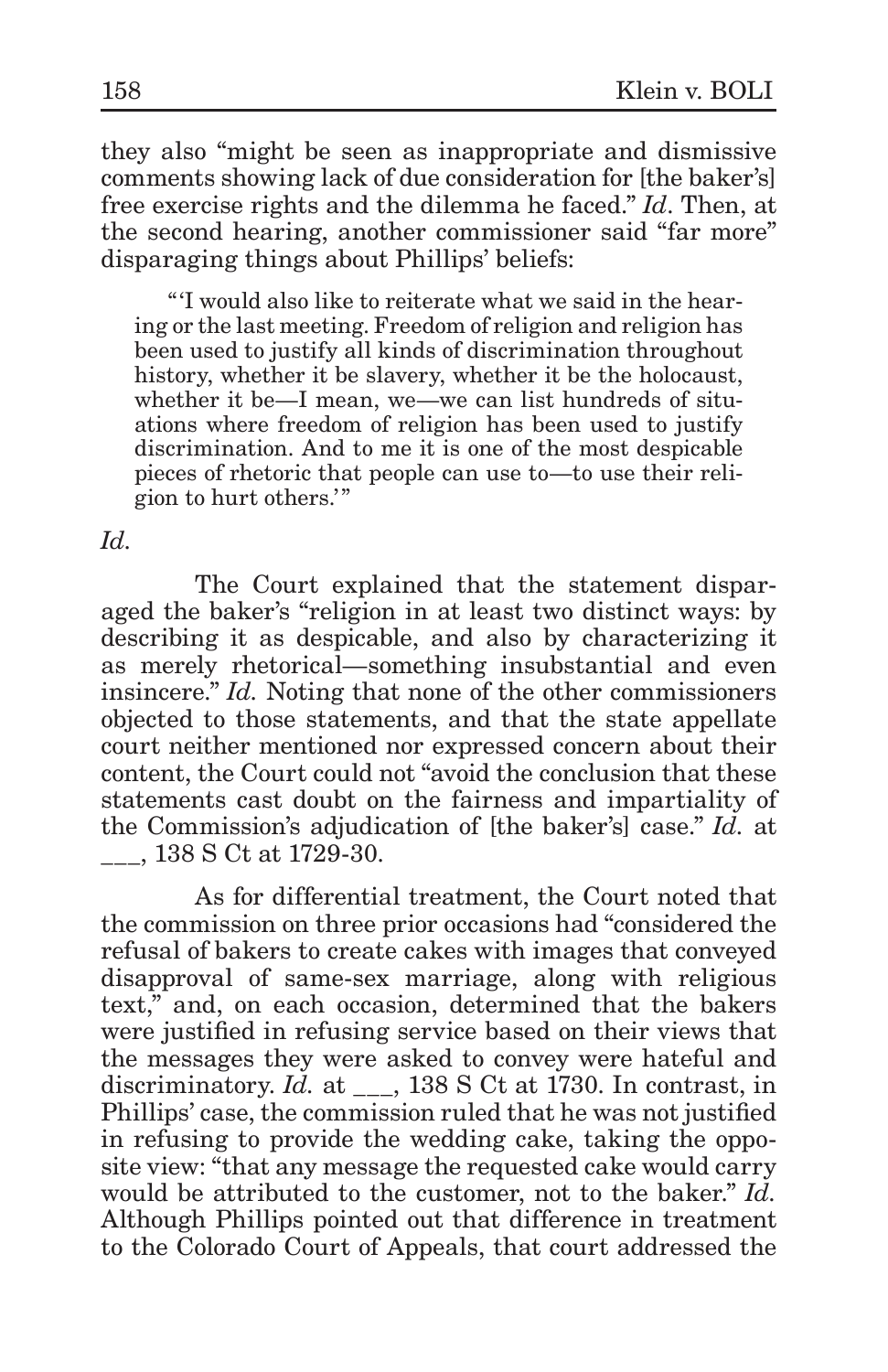they also "might be seen as inappropriate and dismissive comments showing lack of due consideration for [the baker's] free exercise rights and the dilemma he faced." *Id*. Then, at the second hearing, another commissioner said "far more" disparaging things about Phillips' beliefs:

"'I would also like to reiterate what we said in the hearing or the last meeting. Freedom of religion and religion has been used to justify all kinds of discrimination throughout history, whether it be slavery, whether it be the holocaust, whether it be—I mean, we—we can list hundreds of situations where freedom of religion has been used to justify discrimination. And to me it is one of the most despicable pieces of rhetoric that people can use to—to use their religion to hurt others.'"

*Id.*

The Court explained that the statement disparaged the baker's "religion in at least two distinct ways: by describing it as despicable, and also by characterizing it as merely rhetorical—something insubstantial and even insincere." *Id.* Noting that none of the other commissioners objected to those statements, and that the state appellate court neither mentioned nor expressed concern about their content, the Court could not "avoid the conclusion that these statements cast doubt on the fairness and impartiality of the Commission's adjudication of [the baker's] case." *Id.* at \_\_\_, 138 S Ct at 1729-30.

As for differential treatment, the Court noted that the commission on three prior occasions had "considered the refusal of bakers to create cakes with images that conveyed disapproval of same-sex marriage, along with religious text," and, on each occasion, determined that the bakers were justified in refusing service based on their views that the messages they were asked to convey were hateful and discriminatory. *Id.* at \_\_\_, 138 S Ct at 1730. In contrast, in Phillips' case, the commission ruled that he was not justified in refusing to provide the wedding cake, taking the opposite view: "that any message the requested cake would carry would be attributed to the customer, not to the baker." *Id.* Although Phillips pointed out that difference in treatment to the Colorado Court of Appeals, that court addressed the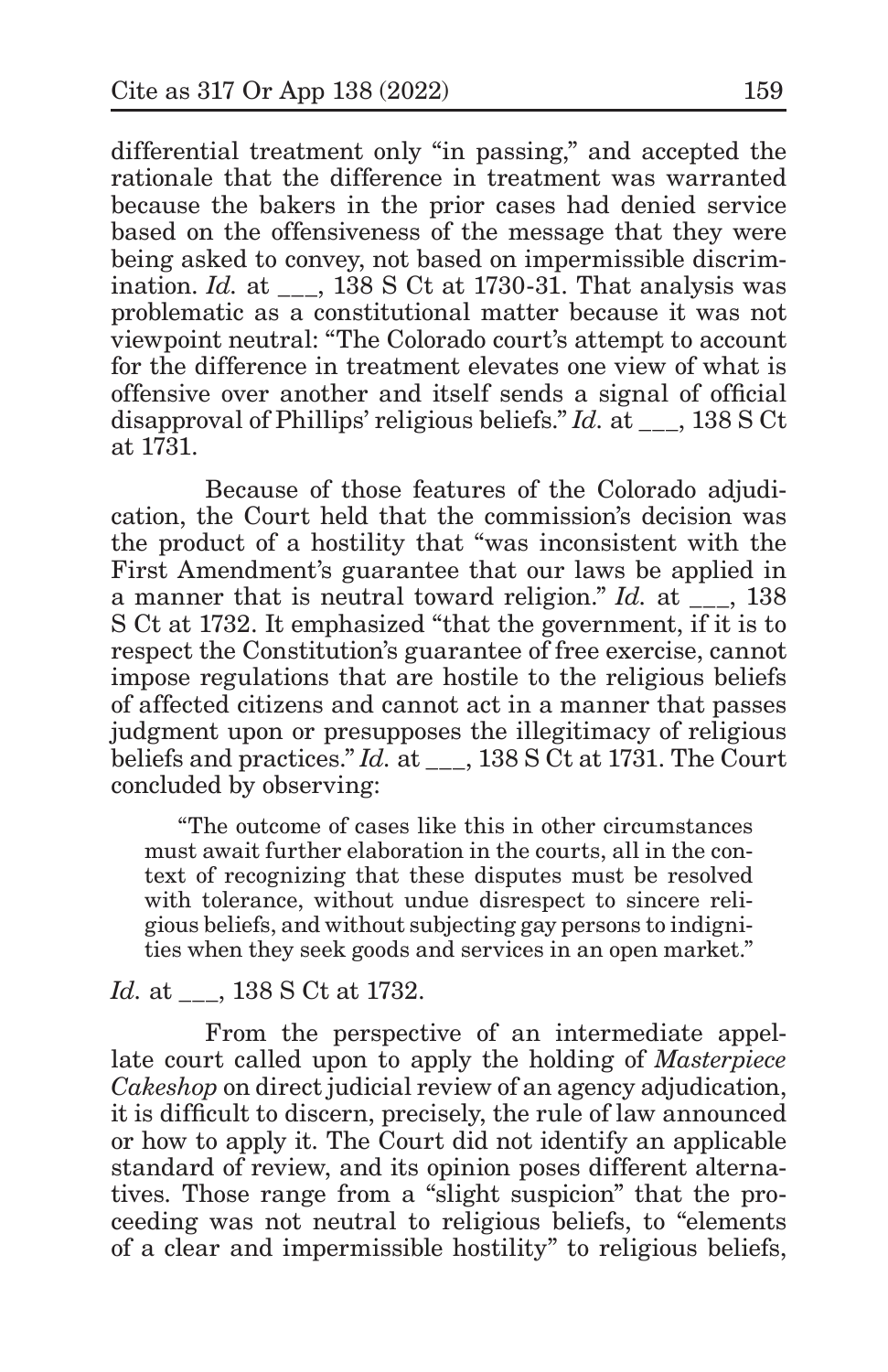differential treatment only "in passing," and accepted the rationale that the difference in treatment was warranted because the bakers in the prior cases had denied service based on the offensiveness of the message that they were being asked to convey, not based on impermissible discrimination. *Id.* at  $\qquad$ , 138 S Ct at 1730-31. That analysis was problematic as a constitutional matter because it was not viewpoint neutral: "The Colorado court's attempt to account for the difference in treatment elevates one view of what is offensive over another and itself sends a signal of official disapproval of Phillips' religious beliefs." *Id.* at \_\_\_, 138 S Ct at 1731.

Because of those features of the Colorado adjudication, the Court held that the commission's decision was the product of a hostility that "was inconsistent with the First Amendment's guarantee that our laws be applied in a manner that is neutral toward religion." *Id.* at , 138 S Ct at 1732. It emphasized "that the government, if it is to respect the Constitution's guarantee of free exercise, cannot impose regulations that are hostile to the religious beliefs of affected citizens and cannot act in a manner that passes judgment upon or presupposes the illegitimacy of religious beliefs and practices." *Id.* at  $\qquad$ , 138 S Ct at 1731. The Court concluded by observing:

"The outcome of cases like this in other circumstances must await further elaboration in the courts, all in the context of recognizing that these disputes must be resolved with tolerance, without undue disrespect to sincere religious beliefs, and without subjecting gay persons to indignities when they seek goods and services in an open market."

#### *Id.* at  $\qquad$ , 138 S Ct at 1732.

From the perspective of an intermediate appellate court called upon to apply the holding of *Masterpiece Cakeshop* on direct judicial review of an agency adjudication, it is difficult to discern, precisely, the rule of law announced or how to apply it. The Court did not identify an applicable standard of review, and its opinion poses different alternatives. Those range from a "slight suspicion" that the proceeding was not neutral to religious beliefs, to "elements of a clear and impermissible hostility" to religious beliefs,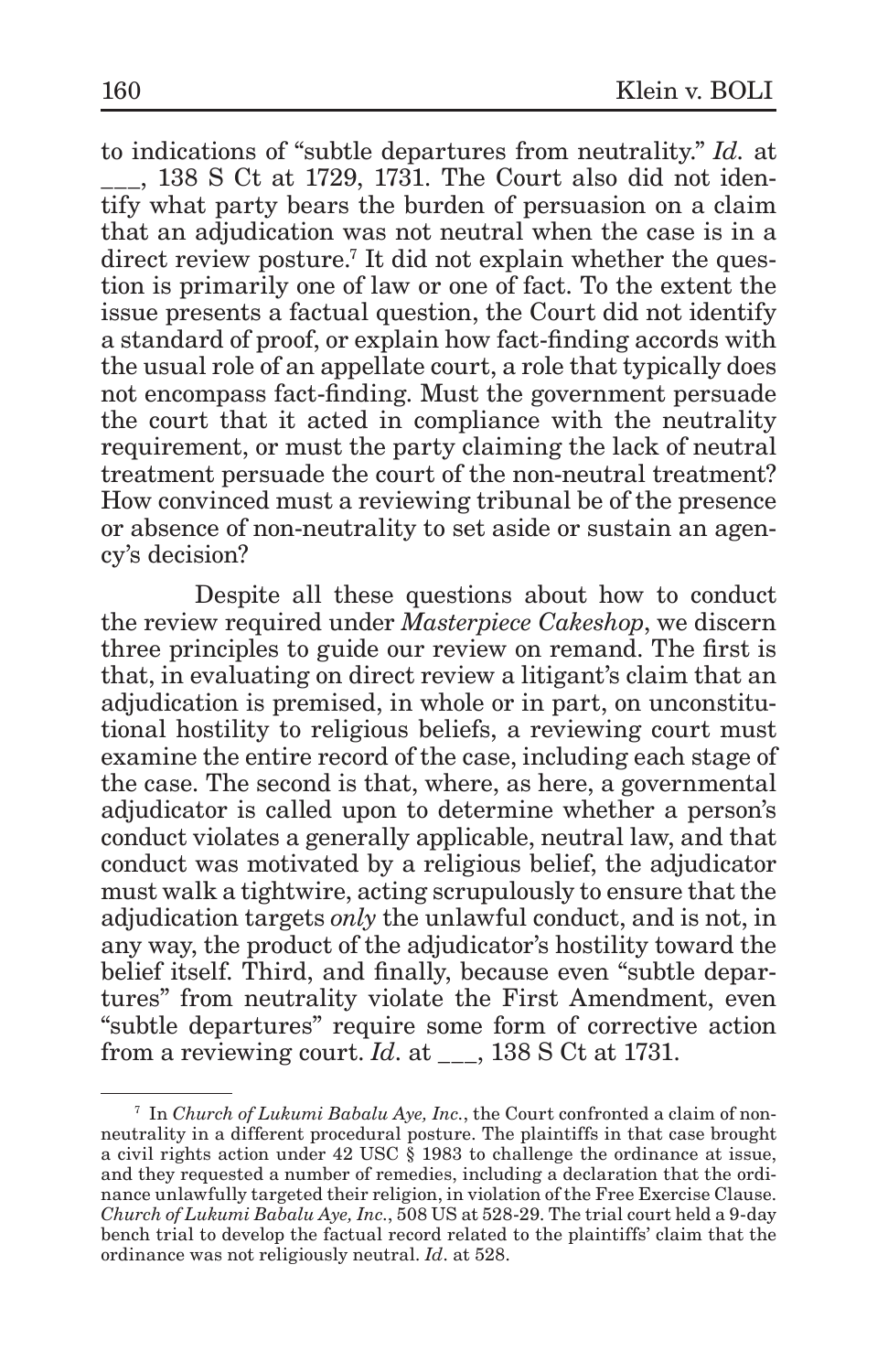to indications of "subtle departures from neutrality." *Id.* at \_\_\_, 138 S Ct at 1729, 1731. The Court also did not identify what party bears the burden of persuasion on a claim that an adjudication was not neutral when the case is in a direct review posture.<sup>7</sup> It did not explain whether the question is primarily one of law or one of fact. To the extent the issue presents a factual question, the Court did not identify a standard of proof, or explain how fact-finding accords with the usual role of an appellate court, a role that typically does not encompass fact-finding. Must the government persuade the court that it acted in compliance with the neutrality requirement, or must the party claiming the lack of neutral treatment persuade the court of the non-neutral treatment? How convinced must a reviewing tribunal be of the presence or absence of non-neutrality to set aside or sustain an agency's decision?

Despite all these questions about how to conduct the review required under *Masterpiece Cakeshop*, we discern three principles to guide our review on remand. The first is that, in evaluating on direct review a litigant's claim that an adjudication is premised, in whole or in part, on unconstitutional hostility to religious beliefs, a reviewing court must examine the entire record of the case, including each stage of the case. The second is that, where, as here, a governmental adjudicator is called upon to determine whether a person's conduct violates a generally applicable, neutral law, and that conduct was motivated by a religious belief, the adjudicator must walk a tightwire, acting scrupulously to ensure that the adjudication targets *only* the unlawful conduct, and is not, in any way, the product of the adjudicator's hostility toward the belief itself. Third, and finally, because even "subtle departures" from neutrality violate the First Amendment, even "subtle departures" require some form of corrective action from a reviewing court. *Id*. at \_\_\_, 138 S Ct at 1731.

<sup>7</sup> In *Church of Lukumi Babalu Aye, Inc.*, the Court confronted a claim of nonneutrality in a different procedural posture. The plaintiffs in that case brought a civil rights action under 42 USC § 1983 to challenge the ordinance at issue, and they requested a number of remedies, including a declaration that the ordinance unlawfully targeted their religion, in violation of the Free Exercise Clause. *Church of Lukumi Babalu Aye, Inc.*, 508 US at 528-29. The trial court held a 9-day bench trial to develop the factual record related to the plaintiffs' claim that the ordinance was not religiously neutral. *Id*. at 528.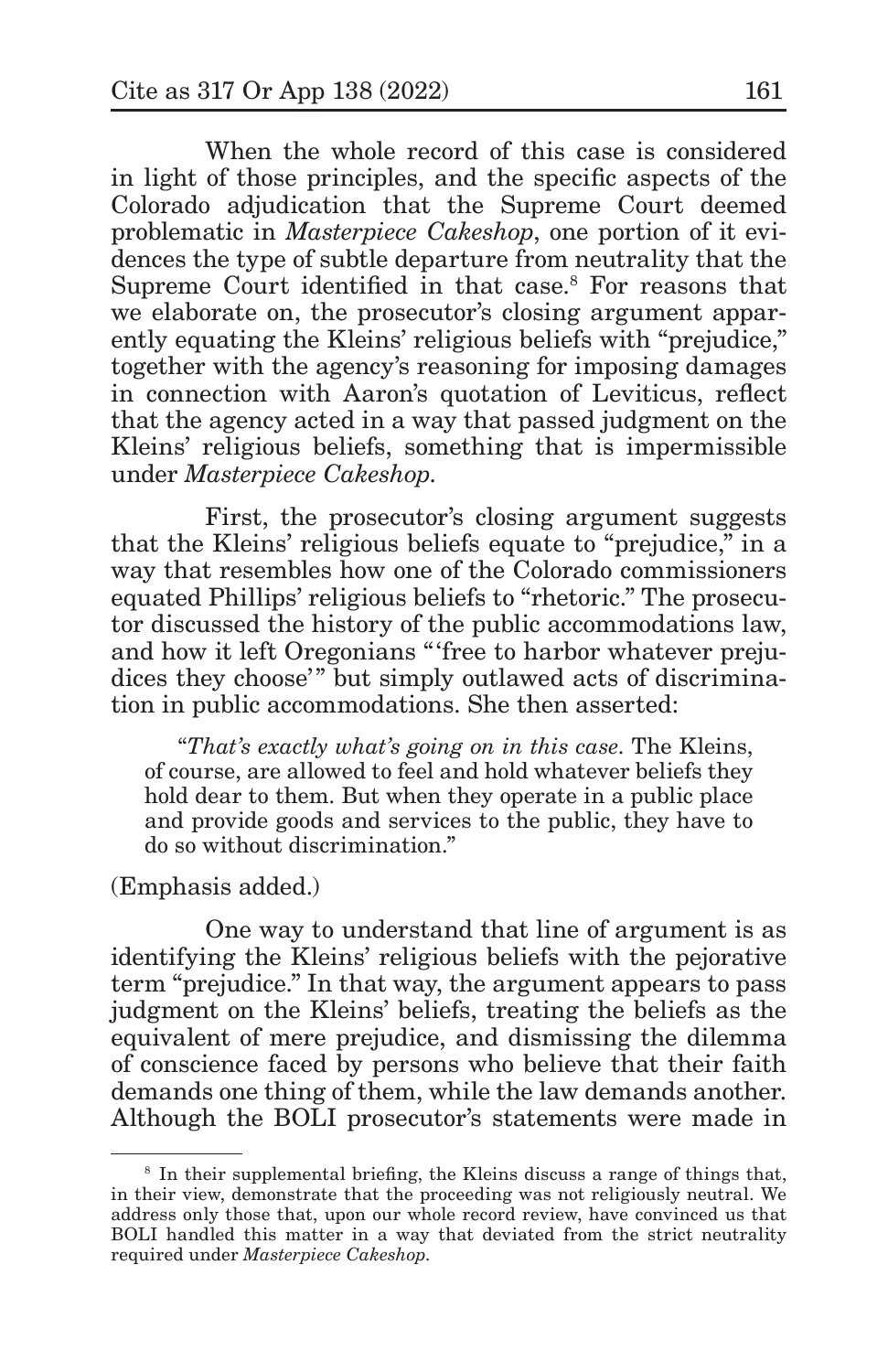When the whole record of this case is considered in light of those principles, and the specific aspects of the Colorado adjudication that the Supreme Court deemed problematic in *Masterpiece Cakeshop*, one portion of it evidences the type of subtle departure from neutrality that the Supreme Court identified in that case.<sup>8</sup> For reasons that we elaborate on, the prosecutor's closing argument apparently equating the Kleins' religious beliefs with "prejudice," together with the agency's reasoning for imposing damages in connection with Aaron's quotation of Leviticus, reflect that the agency acted in a way that passed judgment on the Kleins' religious beliefs, something that is impermissible under *Masterpiece Cakeshop*.

First, the prosecutor's closing argument suggests that the Kleins' religious beliefs equate to "prejudice," in a way that resembles how one of the Colorado commissioners equated Phillips' religious beliefs to "rhetoric." The prosecutor discussed the history of the public accommodations law, and how it left Oregonians "'free to harbor whatever prejudices they choose'" but simply outlawed acts of discrimination in public accommodations. She then asserted:

"*That's exactly what's going on in this case*. The Kleins, of course, are allowed to feel and hold whatever beliefs they hold dear to them. But when they operate in a public place and provide goods and services to the public, they have to do so without discrimination."

#### (Emphasis added.)

One way to understand that line of argument is as identifying the Kleins' religious beliefs with the pejorative term "prejudice." In that way, the argument appears to pass judgment on the Kleins' beliefs, treating the beliefs as the equivalent of mere prejudice, and dismissing the dilemma of conscience faced by persons who believe that their faith demands one thing of them, while the law demands another. Although the BOLI prosecutor's statements were made in

<sup>&</sup>lt;sup>8</sup> In their supplemental briefing, the Kleins discuss a range of things that, in their view, demonstrate that the proceeding was not religiously neutral. We address only those that, upon our whole record review, have convinced us that BOLI handled this matter in a way that deviated from the strict neutrality required under *Masterpiece Cakeshop*.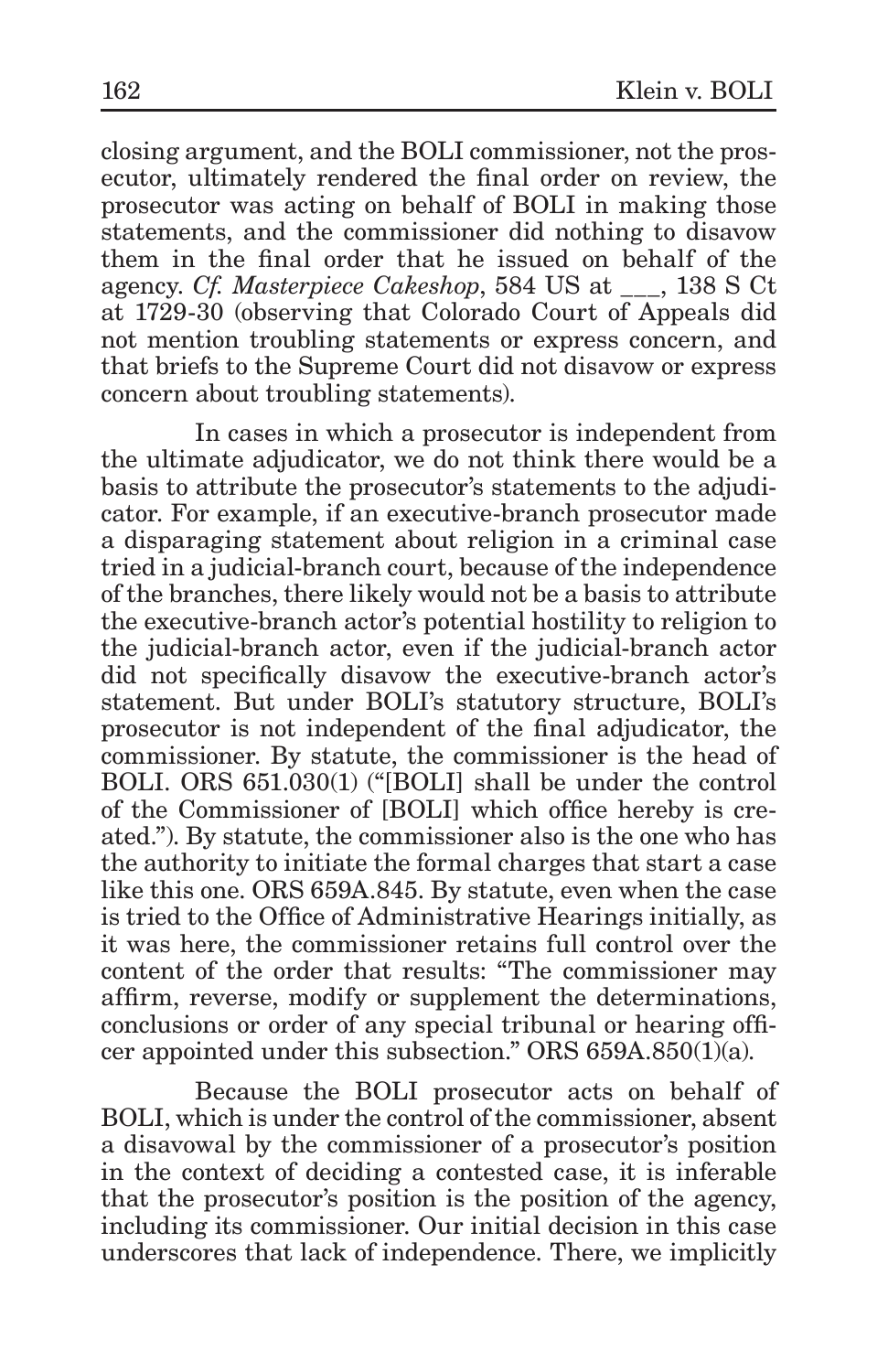closing argument, and the BOLI commissioner, not the prosecutor, ultimately rendered the final order on review, the prosecutor was acting on behalf of BOLI in making those statements, and the commissioner did nothing to disavow them in the final order that he issued on behalf of the agency. *Cf. Masterpiece Cakeshop*, 584 US at \_\_\_, 138 S Ct at 1729-30 (observing that Colorado Court of Appeals did not mention troubling statements or express concern, and that briefs to the Supreme Court did not disavow or express concern about troubling statements).

In cases in which a prosecutor is independent from the ultimate adjudicator, we do not think there would be a basis to attribute the prosecutor's statements to the adjudicator. For example, if an executive-branch prosecutor made a disparaging statement about religion in a criminal case tried in a judicial-branch court, because of the independence of the branches, there likely would not be a basis to attribute the executive-branch actor's potential hostility to religion to the judicial-branch actor, even if the judicial-branch actor did not specifically disavow the executive-branch actor's statement. But under BOLI's statutory structure, BOLI's prosecutor is not independent of the final adjudicator, the commissioner. By statute, the commissioner is the head of BOLI. ORS 651.030(1) ("[BOLI] shall be under the control of the Commissioner of [BOLI] which office hereby is created."). By statute, the commissioner also is the one who has the authority to initiate the formal charges that start a case like this one. ORS 659A.845. By statute, even when the case is tried to the Office of Administrative Hearings initially, as it was here, the commissioner retains full control over the content of the order that results: "The commissioner may affirm, reverse, modify or supplement the determinations, conclusions or order of any special tribunal or hearing officer appointed under this subsection." ORS  $659A.850(1)$ (a).

Because the BOLI prosecutor acts on behalf of BOLI, which is under the control of the commissioner, absent a disavowal by the commissioner of a prosecutor's position in the context of deciding a contested case, it is inferable that the prosecutor's position is the position of the agency, including its commissioner. Our initial decision in this case underscores that lack of independence. There, we implicitly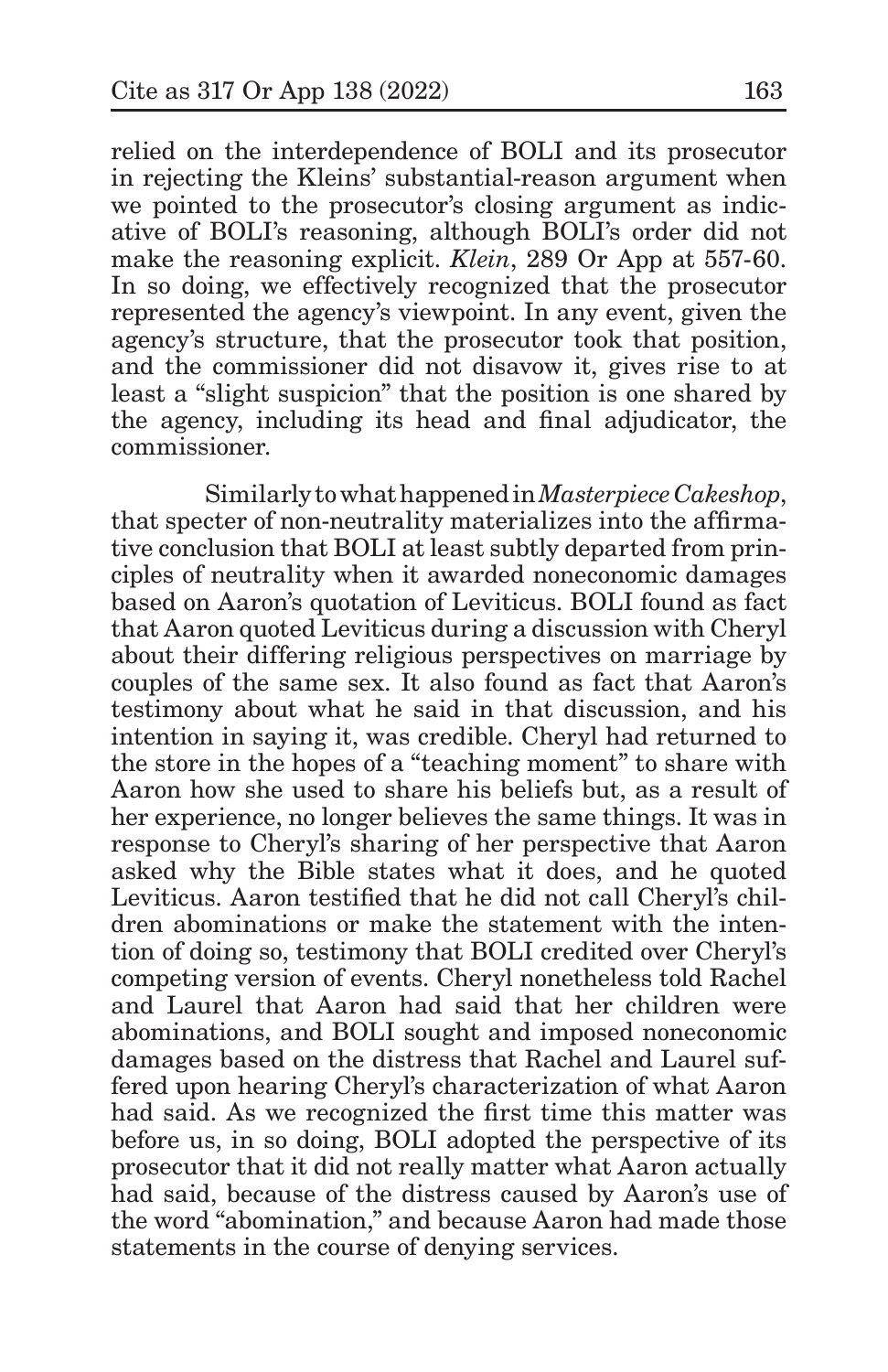relied on the interdependence of BOLI and its prosecutor in rejecting the Kleins' substantial-reason argument when we pointed to the prosecutor's closing argument as indicative of BOLI's reasoning, although BOLI's order did not make the reasoning explicit. *Klein*, 289 Or App at 557-60. In so doing, we effectively recognized that the prosecutor represented the agency's viewpoint. In any event, given the agency's structure, that the prosecutor took that position, and the commissioner did not disavow it, gives rise to at least a "slight suspicion" that the position is one shared by the agency, including its head and final adjudicator, the commissioner.

Similarly to what happened in *Masterpiece Cakeshop*, that specter of non-neutrality materializes into the affirmative conclusion that BOLI at least subtly departed from principles of neutrality when it awarded noneconomic damages based on Aaron's quotation of Leviticus. BOLI found as fact that Aaron quoted Leviticus during a discussion with Cheryl about their differing religious perspectives on marriage by couples of the same sex. It also found as fact that Aaron's testimony about what he said in that discussion, and his intention in saying it, was credible. Cheryl had returned to the store in the hopes of a "teaching moment" to share with Aaron how she used to share his beliefs but, as a result of her experience, no longer believes the same things. It was in response to Cheryl's sharing of her perspective that Aaron asked why the Bible states what it does, and he quoted Leviticus. Aaron testified that he did not call Cheryl's children abominations or make the statement with the intention of doing so, testimony that BOLI credited over Cheryl's competing version of events. Cheryl nonetheless told Rachel and Laurel that Aaron had said that her children were abominations, and BOLI sought and imposed noneconomic damages based on the distress that Rachel and Laurel suffered upon hearing Cheryl's characterization of what Aaron had said. As we recognized the first time this matter was before us, in so doing, BOLI adopted the perspective of its prosecutor that it did not really matter what Aaron actually had said, because of the distress caused by Aaron's use of the word "abomination," and because Aaron had made those statements in the course of denying services.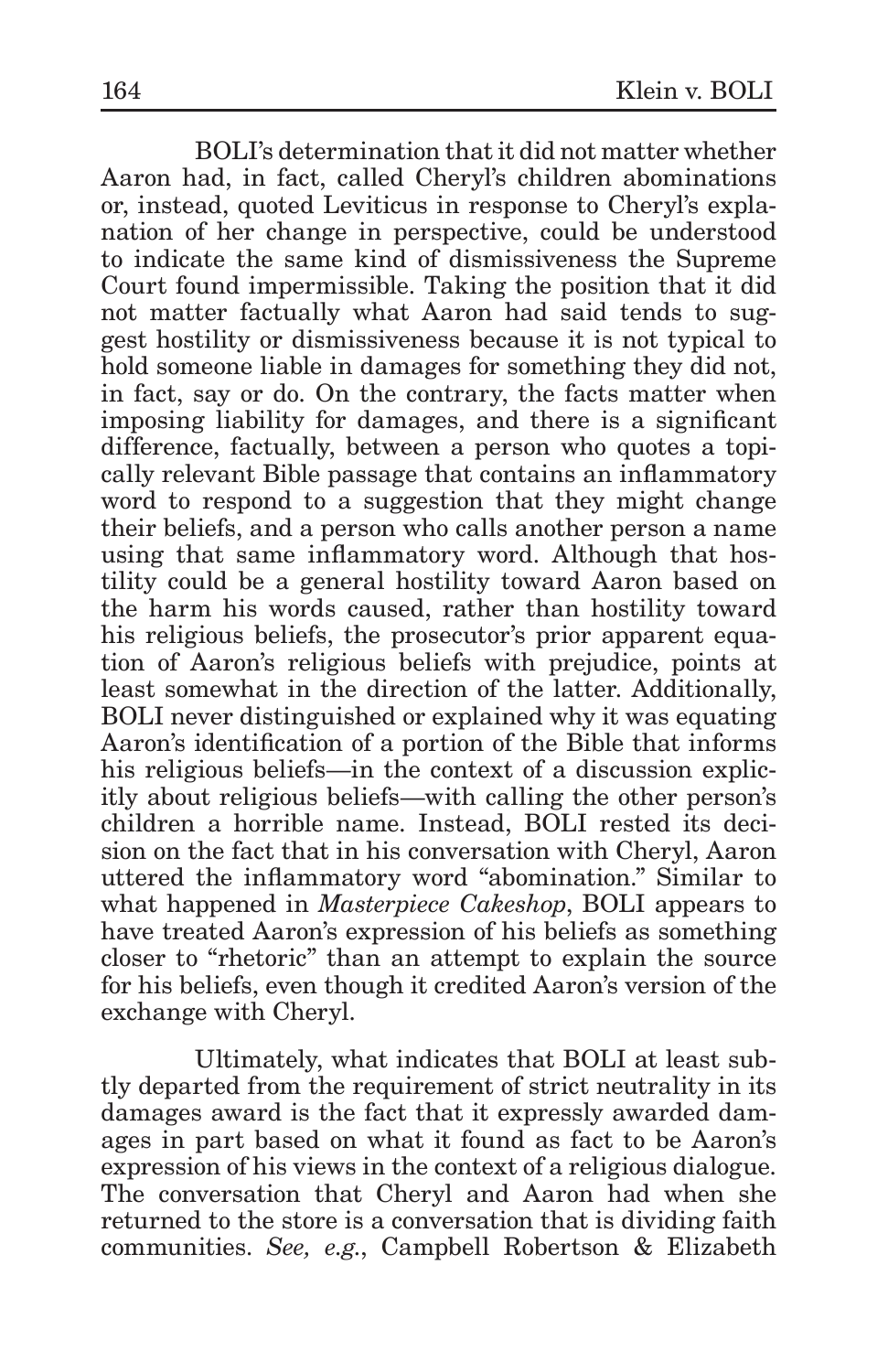BOLI's determination that it did not matter whether Aaron had, in fact, called Cheryl's children abominations or, instead, quoted Leviticus in response to Cheryl's explanation of her change in perspective, could be understood to indicate the same kind of dismissiveness the Supreme Court found impermissible. Taking the position that it did not matter factually what Aaron had said tends to suggest hostility or dismissiveness because it is not typical to hold someone liable in damages for something they did not, in fact, say or do. On the contrary, the facts matter when imposing liability for damages, and there is a significant difference, factually, between a person who quotes a topically relevant Bible passage that contains an inflammatory word to respond to a suggestion that they might change their beliefs, and a person who calls another person a name using that same inflammatory word. Although that hostility could be a general hostility toward Aaron based on the harm his words caused, rather than hostility toward his religious beliefs, the prosecutor's prior apparent equation of Aaron's religious beliefs with prejudice, points at least somewhat in the direction of the latter. Additionally, BOLI never distinguished or explained why it was equating Aaron's identification of a portion of the Bible that informs his religious beliefs—in the context of a discussion explicitly about religious beliefs—with calling the other person's children a horrible name. Instead, BOLI rested its decision on the fact that in his conversation with Cheryl, Aaron uttered the inflammatory word "abomination." Similar to what happened in *Masterpiece Cakeshop*, BOLI appears to have treated Aaron's expression of his beliefs as something closer to "rhetoric" than an attempt to explain the source for his beliefs, even though it credited Aaron's version of the exchange with Cheryl.

Ultimately, what indicates that BOLI at least subtly departed from the requirement of strict neutrality in its damages award is the fact that it expressly awarded damages in part based on what it found as fact to be Aaron's expression of his views in the context of a religious dialogue. The conversation that Cheryl and Aaron had when she returned to the store is a conversation that is dividing faith communities. *See, e.g.*, Campbell Robertson & Elizabeth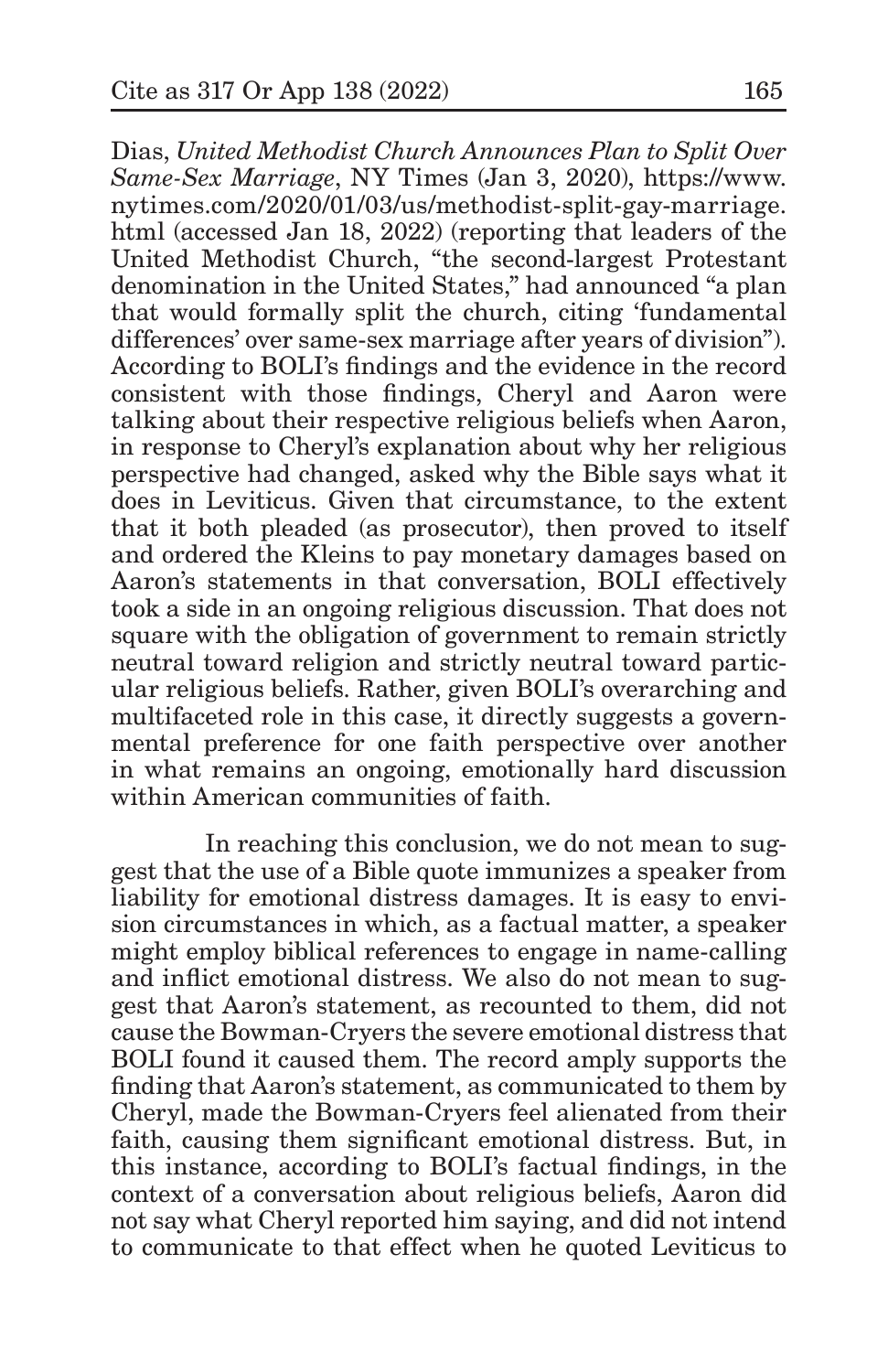Dias, *United Methodist Church Announces Plan to Split Over Same-Sex Marriage*, NY Times (Jan 3, 2020), https://www. nytimes.com/2020/01/03/us/methodist-split-gay-marriage. html (accessed Jan 18, 2022) (reporting that leaders of the United Methodist Church, "the second-largest Protestant denomination in the United States," had announced "a plan that would formally split the church, citing 'fundamental differences' over same-sex marriage after years of division"). According to BOLI's findings and the evidence in the record consistent with those findings, Cheryl and Aaron were talking about their respective religious beliefs when Aaron, in response to Cheryl's explanation about why her religious perspective had changed, asked why the Bible says what it does in Leviticus. Given that circumstance, to the extent that it both pleaded (as prosecutor), then proved to itself and ordered the Kleins to pay monetary damages based on Aaron's statements in that conversation, BOLI effectively took a side in an ongoing religious discussion. That does not square with the obligation of government to remain strictly neutral toward religion and strictly neutral toward particular religious beliefs. Rather, given BOLI's overarching and multifaceted role in this case, it directly suggests a governmental preference for one faith perspective over another in what remains an ongoing, emotionally hard discussion within American communities of faith.

In reaching this conclusion, we do not mean to suggest that the use of a Bible quote immunizes a speaker from liability for emotional distress damages. It is easy to envision circumstances in which, as a factual matter, a speaker might employ biblical references to engage in name-calling and inflict emotional distress. We also do not mean to suggest that Aaron's statement, as recounted to them, did not cause the Bowman-Cryers the severe emotional distress that BOLI found it caused them. The record amply supports the finding that Aaron's statement, as communicated to them by Cheryl, made the Bowman-Cryers feel alienated from their faith, causing them significant emotional distress. But, in this instance, according to BOLI's factual findings, in the context of a conversation about religious beliefs, Aaron did not say what Cheryl reported him saying, and did not intend to communicate to that effect when he quoted Leviticus to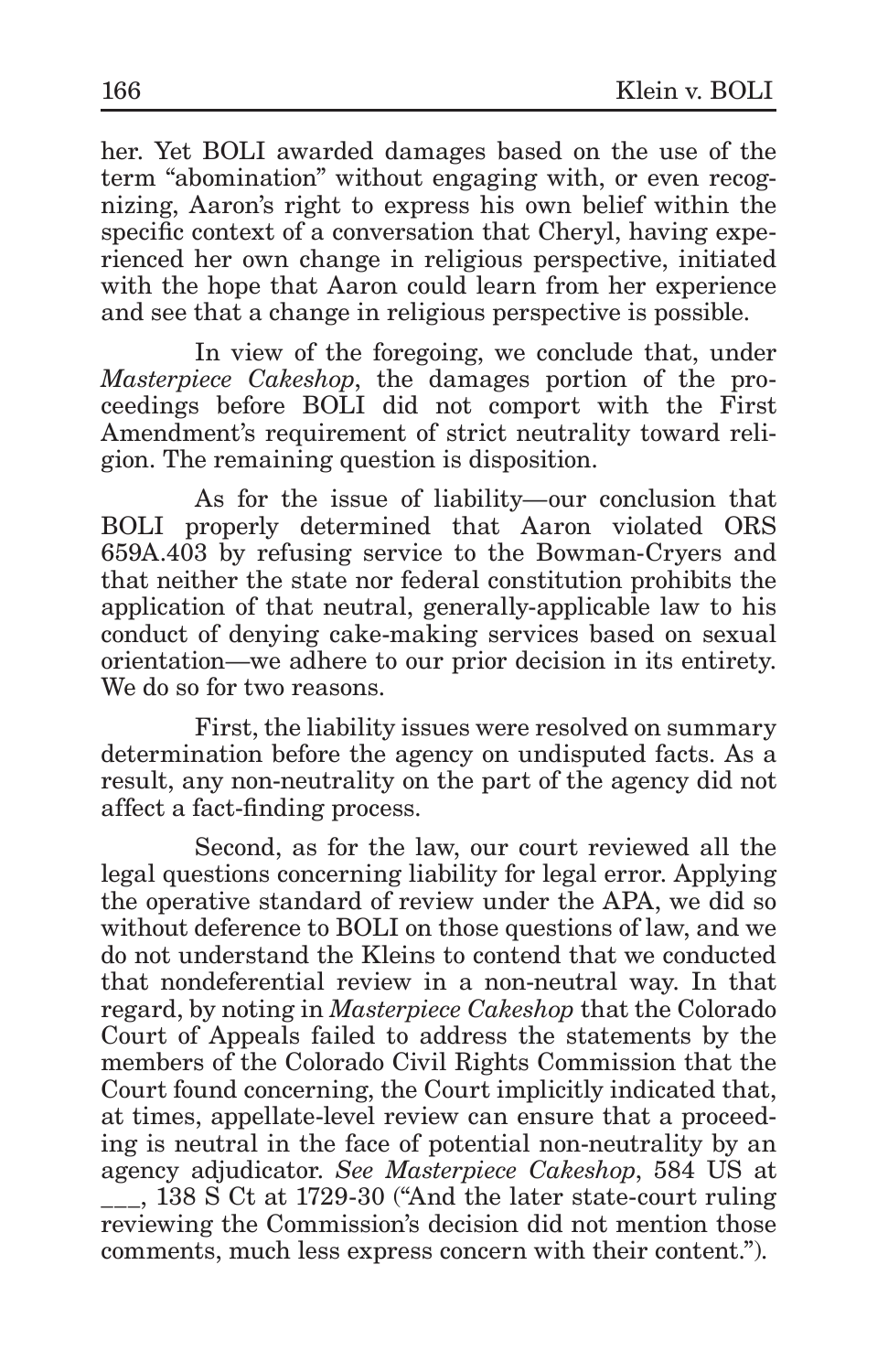her. Yet BOLI awarded damages based on the use of the term "abomination" without engaging with, or even recognizing, Aaron's right to express his own belief within the specific context of a conversation that Cheryl, having experienced her own change in religious perspective, initiated with the hope that Aaron could learn from her experience and see that a change in religious perspective is possible.

In view of the foregoing, we conclude that, under *Masterpiece Cakeshop*, the damages portion of the proceedings before BOLI did not comport with the First Amendment's requirement of strict neutrality toward religion. The remaining question is disposition.

As for the issue of liability—our conclusion that BOLI properly determined that Aaron violated ORS 659A.403 by refusing service to the Bowman-Cryers and that neither the state nor federal constitution prohibits the application of that neutral, generally-applicable law to his conduct of denying cake-making services based on sexual orientation—we adhere to our prior decision in its entirety. We do so for two reasons.

First, the liability issues were resolved on summary determination before the agency on undisputed facts. As a result, any non-neutrality on the part of the agency did not affect a fact-finding process.

Second, as for the law, our court reviewed all the legal questions concerning liability for legal error. Applying the operative standard of review under the APA, we did so without deference to BOLI on those questions of law, and we do not understand the Kleins to contend that we conducted that nondeferential review in a non-neutral way. In that regard, by noting in *Masterpiece Cakeshop* that the Colorado Court of Appeals failed to address the statements by the members of the Colorado Civil Rights Commission that the Court found concerning, the Court implicitly indicated that, at times, appellate-level review can ensure that a proceeding is neutral in the face of potential non-neutrality by an agency adjudicator. *See Masterpiece Cakeshop*, 584 US at \_\_\_, 138 S Ct at 1729-30 ("And the later state-court ruling reviewing the Commission's decision did not mention those comments, much less express concern with their content.").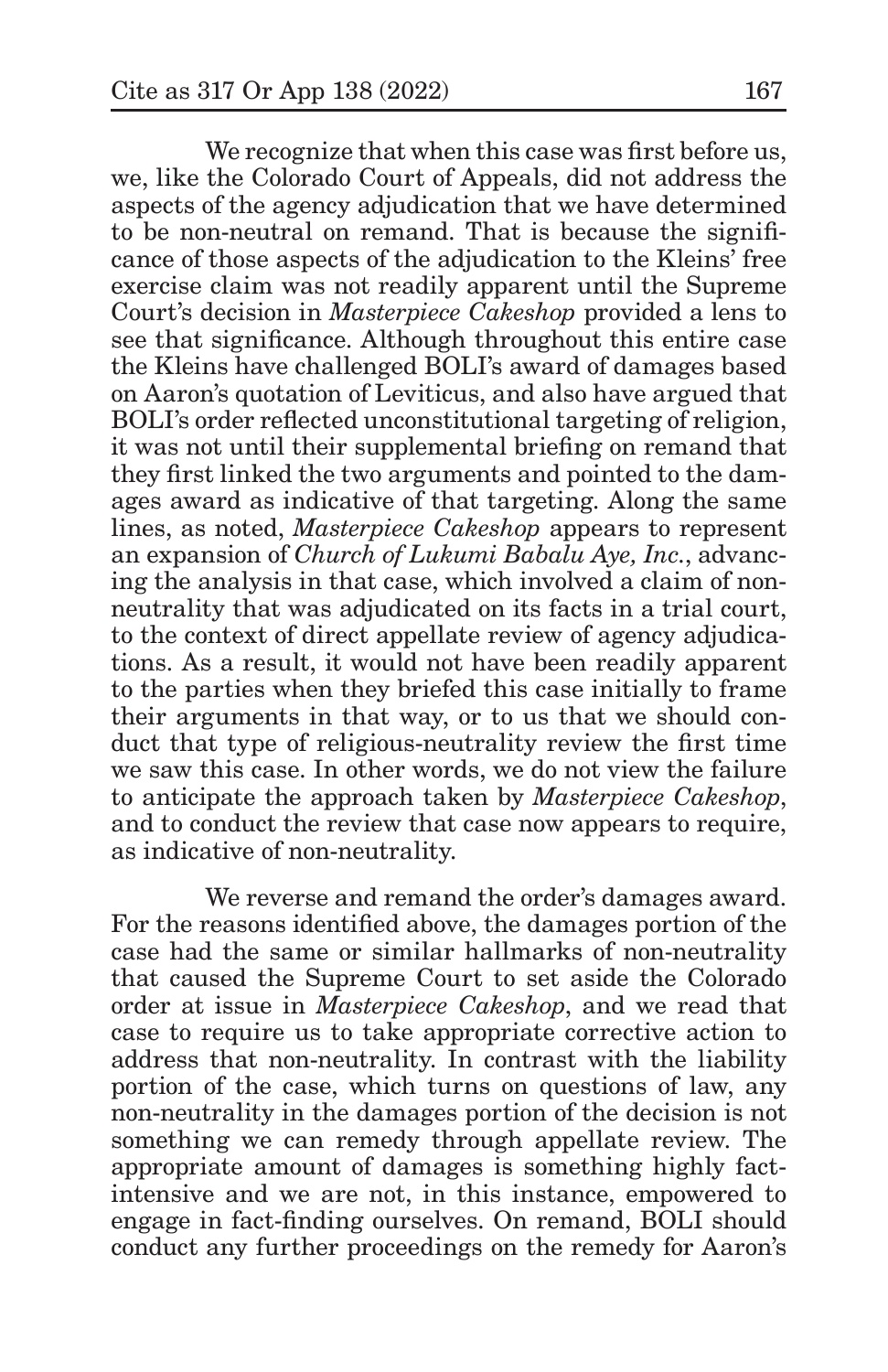We recognize that when this case was first before us, we, like the Colorado Court of Appeals, did not address the aspects of the agency adjudication that we have determined to be non-neutral on remand. That is because the significance of those aspects of the adjudication to the Kleins' free exercise claim was not readily apparent until the Supreme Court's decision in *Masterpiece Cakeshop* provided a lens to see that significance. Although throughout this entire case the Kleins have challenged BOLI's award of damages based on Aaron's quotation of Leviticus, and also have argued that BOLI's order reflected unconstitutional targeting of religion, it was not until their supplemental briefing on remand that they first linked the two arguments and pointed to the damages award as indicative of that targeting. Along the same lines, as noted, *Masterpiece Cakeshop* appears to represent an expansion of *Church of Lukumi Babalu Aye, Inc.*, advancing the analysis in that case, which involved a claim of nonneutrality that was adjudicated on its facts in a trial court, to the context of direct appellate review of agency adjudications. As a result, it would not have been readily apparent to the parties when they briefed this case initially to frame their arguments in that way, or to us that we should conduct that type of religious-neutrality review the first time we saw this case. In other words, we do not view the failure to anticipate the approach taken by *Masterpiece Cakeshop*, and to conduct the review that case now appears to require, as indicative of non-neutrality.

We reverse and remand the order's damages award. For the reasons identified above, the damages portion of the case had the same or similar hallmarks of non-neutrality that caused the Supreme Court to set aside the Colorado order at issue in *Masterpiece Cakeshop*, and we read that case to require us to take appropriate corrective action to address that non-neutrality. In contrast with the liability portion of the case, which turns on questions of law, any non-neutrality in the damages portion of the decision is not something we can remedy through appellate review. The appropriate amount of damages is something highly factintensive and we are not, in this instance, empowered to engage in fact-finding ourselves. On remand, BOLI should conduct any further proceedings on the remedy for Aaron's